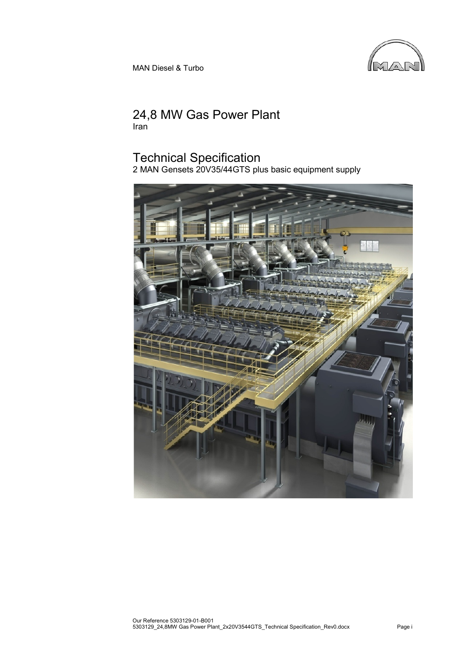

MAN Diesel & Turbo

## 24,8 MW Gas Power Plant Iran

# Technical Specification

2 MAN Gensets 20V35/44GTS plus basic equipment supply

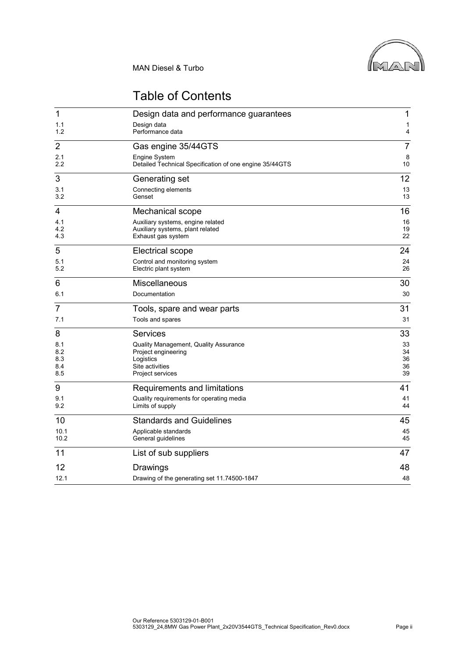

# Table of Contents

| 1                 | Design data and performance guarantees                                                      | 1                   |
|-------------------|---------------------------------------------------------------------------------------------|---------------------|
| 1.1<br>1.2        | Design data<br>Performance data                                                             | 1<br>$\overline{4}$ |
| $\overline{2}$    | Gas engine 35/44GTS                                                                         | $\overline{7}$      |
| 2.1<br>2.2        | Engine System<br>Detailed Technical Specification of one engine 35/44GTS                    | 8<br>10             |
| 3                 | Generating set                                                                              | 12                  |
| 3.1<br>3.2        | Connecting elements<br>Genset                                                               | 13<br>13            |
| 4                 | Mechanical scope                                                                            | 16                  |
| 4.1<br>4.2<br>4.3 | Auxiliary systems, engine related<br>Auxiliary systems, plant related<br>Exhaust gas system | 16<br>19<br>22      |
| 5                 | Electrical scope                                                                            | 24                  |
| 5.1<br>5.2        | Control and monitoring system<br>Electric plant system                                      | 24<br>26            |
| 6                 | Miscellaneous                                                                               | 30                  |
| 6.1               | Documentation                                                                               | 30                  |
| 7                 | Tools, spare and wear parts                                                                 | 31                  |
| 7.1               | Tools and spares                                                                            | 31                  |
| 8                 | <b>Services</b>                                                                             | 33                  |
| 8.1<br>8.2        | Quality Management, Quality Assurance<br>Project engineering                                | 33<br>34            |
| 8.3               | Logistics                                                                                   | 36                  |
| 8.4<br>8.5        | Site activities<br>Project services                                                         | 36<br>39            |
| 9                 | Requirements and limitations                                                                | 41                  |
| 9.1<br>9.2        | Quality requirements for operating media<br>Limits of supply                                | 41<br>44            |
| 10                | <b>Standards and Guidelines</b>                                                             | 45                  |
| 10.1<br>10.2      | Applicable standards<br>General guidelines                                                  | 45<br>45            |
| 11                | List of sub suppliers                                                                       | 47                  |
| 12                | Drawings                                                                                    | 48                  |
| 12.1              | Drawing of the generating set 11.74500-1847                                                 | 48                  |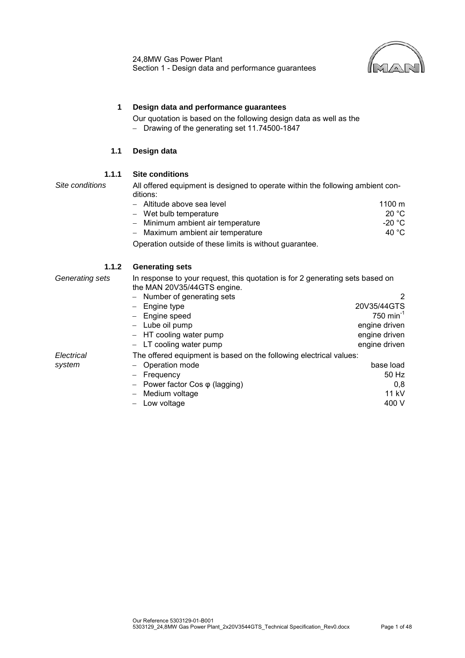

## <span id="page-2-0"></span>**1 Design data and performance guarantees**

Our quotation is based on the following design data as well as the − [Drawing of the generating set 11.74500-1847](#page-49-1)

#### **1.1 Design data**

#### **1.1.1 Site conditions**

<span id="page-2-1"></span>*Site conditions* All offered equipment is designed to operate within the following ambient conditions:

| - Altitude above sea level        | 1100 $\,$ m $\,$ |
|-----------------------------------|------------------|
| - Wet bulb temperature            | 20 °C.           |
| - Minimum ambient air temperature | -20 °C           |
| - Maximum ambient air temperature | 40 °C            |

Operation outside of these limits is without guarantee.

## **1.1.2 Generating sets**

*Generating sets* In response to your request, this quotation is for 2 generating sets based on the MAN 20V35/44GTS engine. − Number of generating sets 2<br>
20V35/44GTS 20V35/44GTS − Engine type 20V35/44GTS<br>
− Engine speed 20V35/44GTS − Engine speed 750 min-1 − Lube oil pump engine driven − HT cooling water pump engine driven − LT cooling water pump engine driven *Electrical system* The offered equipment is based on the following electrical values: − Operation mode<br>
− Frequency base load<br>
− Frequency 50 Hz − Frequency − Power factor Cos φ (lagging) 0,8 − Medium voltage 11 kV − Low voltage 400 V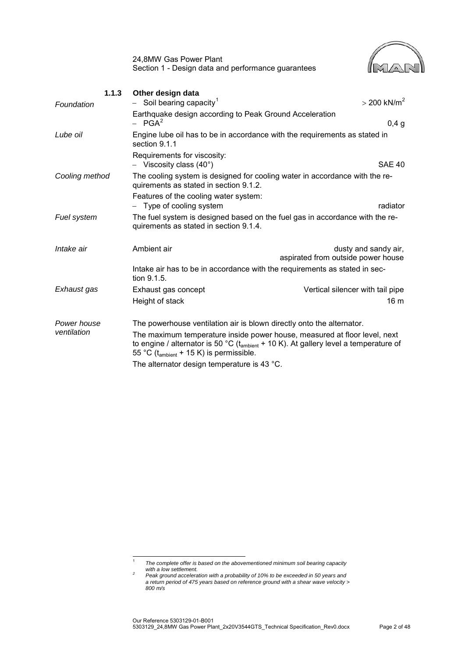<span id="page-3-2"></span>

|                | 24,8MW Gas Power Plant<br>Section 1 - Design data and performance guarantees                                                                                                                                                           |                                                            |  |
|----------------|----------------------------------------------------------------------------------------------------------------------------------------------------------------------------------------------------------------------------------------|------------------------------------------------------------|--|
| 1.1.3          | Other design data<br>Soil bearing capacity <sup>1</sup>                                                                                                                                                                                | $>$ 200 kN/m <sup>2</sup>                                  |  |
| Foundation     | Earthquake design according to Peak Ground Acceleration<br>$-$ PGA <sup>2</sup>                                                                                                                                                        | 0,4,9                                                      |  |
| Lube oil       | Engine lube oil has to be in accordance with the requirements as stated in<br>section 9.1.1                                                                                                                                            |                                                            |  |
|                | Requirements for viscosity:<br>$-$ Viscosity class (40°)                                                                                                                                                                               | <b>SAE 40</b>                                              |  |
| Cooling method | The cooling system is designed for cooling water in accordance with the re-<br>quirements as stated in section 9.1.2.                                                                                                                  |                                                            |  |
|                | Features of the cooling water system:<br>Type of cooling system                                                                                                                                                                        | radiator                                                   |  |
| Fuel system    | The fuel system is designed based on the fuel gas in accordance with the re-<br>quirements as stated in section 9.1.4.                                                                                                                 |                                                            |  |
| Intake air     | Ambient air                                                                                                                                                                                                                            | dusty and sandy air,<br>aspirated from outside power house |  |
|                | Intake air has to be in accordance with the requirements as stated in sec-<br>tion 9.1.5.                                                                                                                                              |                                                            |  |
| Exhaust gas    | Exhaust gas concept                                                                                                                                                                                                                    | Vertical silencer with tail pipe                           |  |
|                | Height of stack                                                                                                                                                                                                                        | 16 <sub>m</sub>                                            |  |
| Power house    | The powerhouse ventilation air is blown directly onto the alternator.                                                                                                                                                                  |                                                            |  |
| ventilation    | The maximum temperature inside power house, measured at floor level, next<br>to engine / alternator is 50 °C ( $t_{\text{ambient}}$ + 10 K). At gallery level a temperature of<br>55 °C ( $t_{\text{ambient}}$ + 15 K) is permissible. |                                                            |  |
|                | The alternator design temperature is 43 °C.                                                                                                                                                                                            |                                                            |  |

<span id="page-3-0"></span><sup>|&</sup>lt;br>1 *The complete offer is based on the abovementioned minimum soil bearing capacity*

<span id="page-3-1"></span>*with a low settlement. 2 Peak ground acceleration with a probability of 10% to be exceeded in 50 years and a return period of 475 years based on reference ground with a shear wave velocity > 800 m/s*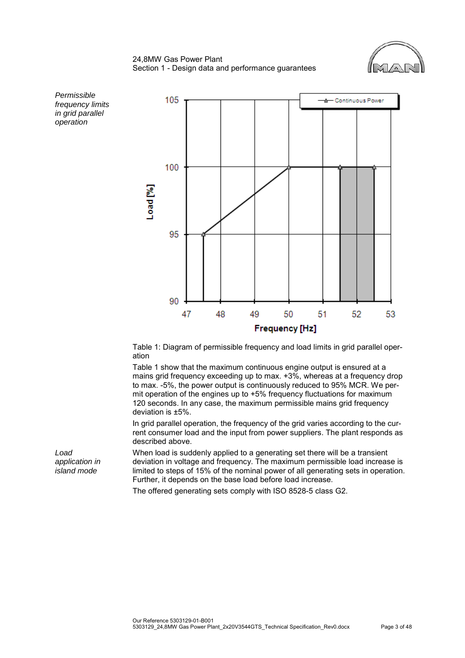24,8MW Gas Power Plant Section 1 - Design data and performance guarantees







Table 1: Diagram of permissible frequency and load limits in grid parallel operation

Table 1 show that the maximum continuous engine output is ensured at a mains grid frequency exceeding up to max. +3%, whereas at a frequency drop to max. -5%, the power output is continuously reduced to 95% MCR. We permit operation of the engines up to +5% frequency fluctuations for maximum 120 seconds. In any case, the maximum permissible mains grid frequency deviation is ±5%.

In grid parallel operation, the frequency of the grid varies according to the current consumer load and the input from power suppliers. The plant responds as described above.

When load is suddenly applied to a generating set there will be a transient deviation in voltage and frequency. The maximum permissible load increase is limited to steps of 15% of the nominal power of all generating sets in operation. Further, it depends on the base load before load increase.

The offered generating sets comply with ISO 8528-5 class G2.

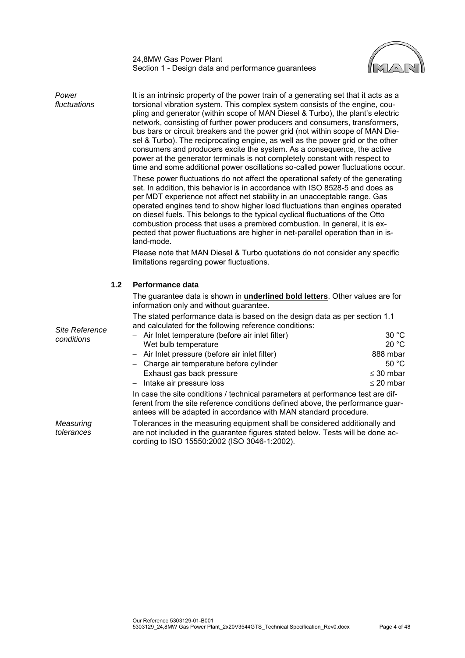24,8MW Gas Power Plant Section 1 - Design data and performance guarantees



<span id="page-5-0"></span>

| Power<br>fluctuations               | It is an intrinsic property of the power train of a generating set that it acts as a<br>torsional vibration system. This complex system consists of the engine, cou-<br>pling and generator (within scope of MAN Diesel & Turbo), the plant's electric<br>network, consisting of further power producers and consumers, transformers,<br>bus bars or circuit breakers and the power grid (not within scope of MAN Die-<br>sel & Turbo). The reciprocating engine, as well as the power grid or the other<br>consumers and producers excite the system. As a consequence, the active<br>power at the generator terminals is not completely constant with respect to<br>time and some additional power oscillations so-called power fluctuations occur.<br>These power fluctuations do not affect the operational safety of the generating<br>set. In addition, this behavior is in accordance with ISO 8528-5 and does as<br>per MDT experience not affect net stability in an unacceptable range. Gas<br>operated engines tend to show higher load fluctuations than engines operated<br>on diesel fuels. This belongs to the typical cyclical fluctuations of the Otto<br>combustion process that uses a premixed combustion. In general, it is ex-<br>pected that power fluctuations are higher in net-parallel operation than in is-<br>land-mode.<br>Please note that MAN Diesel & Turbo quotations do not consider any specific<br>limitations regarding power fluctuations. |                                                                         |
|-------------------------------------|-----------------------------------------------------------------------------------------------------------------------------------------------------------------------------------------------------------------------------------------------------------------------------------------------------------------------------------------------------------------------------------------------------------------------------------------------------------------------------------------------------------------------------------------------------------------------------------------------------------------------------------------------------------------------------------------------------------------------------------------------------------------------------------------------------------------------------------------------------------------------------------------------------------------------------------------------------------------------------------------------------------------------------------------------------------------------------------------------------------------------------------------------------------------------------------------------------------------------------------------------------------------------------------------------------------------------------------------------------------------------------------------------------------------------------------------------------------------------------------|-------------------------------------------------------------------------|
| 1.2                                 | Performance data                                                                                                                                                                                                                                                                                                                                                                                                                                                                                                                                                                                                                                                                                                                                                                                                                                                                                                                                                                                                                                                                                                                                                                                                                                                                                                                                                                                                                                                                  |                                                                         |
|                                     | The guarantee data is shown in <i>underlined bold letters</i> . Other values are for<br>information only and without guarantee.                                                                                                                                                                                                                                                                                                                                                                                                                                                                                                                                                                                                                                                                                                                                                                                                                                                                                                                                                                                                                                                                                                                                                                                                                                                                                                                                                   |                                                                         |
| <b>Site Reference</b><br>conditions | The stated performance data is based on the design data as per section 1.1<br>and calculated for the following reference conditions:<br>- Air Inlet temperature (before air inlet filter)<br>- Wet bulb temperature<br>- Air Inlet pressure (before air inlet filter)<br>- Charge air temperature before cylinder<br>- Exhaust gas back pressure<br>Intake air pressure loss<br>In case the site conditions / technical parameters at performance test are dif-<br>ferent from the site reference conditions defined above, the performance guar-                                                                                                                                                                                                                                                                                                                                                                                                                                                                                                                                                                                                                                                                                                                                                                                                                                                                                                                                 | 30 °C<br>20 °C<br>888 mbar<br>50 °C<br>$\leq$ 30 mbar<br>$\leq$ 20 mbar |
| Measuring<br>tolerances             | antees will be adapted in accordance with MAN standard procedure.<br>Tolerances in the measuring equipment shall be considered additionally and<br>are not included in the guarantee figures stated below. Tests will be done ac-<br>cording to ISO 15550:2002 (ISO 3046-1:2002).                                                                                                                                                                                                                                                                                                                                                                                                                                                                                                                                                                                                                                                                                                                                                                                                                                                                                                                                                                                                                                                                                                                                                                                                 |                                                                         |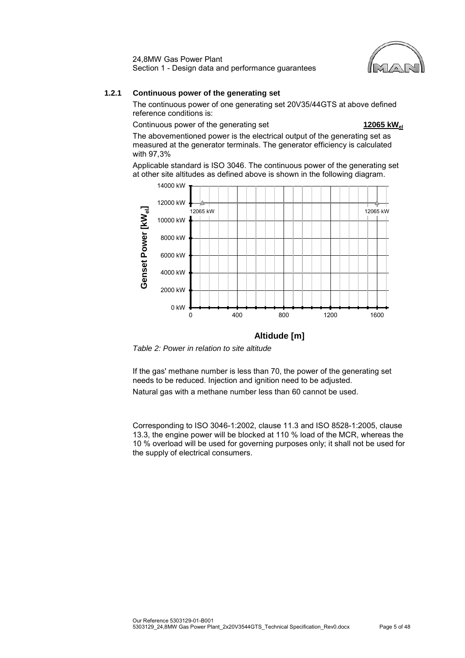24,8MW Gas Power Plant Section 1 - Design data and performance guarantees

## **1.2.1 Continuous power of the generating set**

The continuous power of one generating set 20V35/44GTS at above defined reference conditions is:

Continuous power of the generating set **12065 kWel**

The abovementioned power is the electrical output of the generating set as measured at the generator terminals. The generator efficiency is calculated with 97,3%

Applicable standard is ISO 3046. The continuous power of the generating set at other site altitudes as defined above is shown in the following diagram.



#### **Altidude [m]**

*Table 2: Power in relation to site altitude*

If the gas' methane number is less than 70, the power of the generating set needs to be reduced. Injection and ignition need to be adjusted. Natural gas with a methane number less than 60 cannot be used.

Corresponding to ISO 3046-1:2002, clause 11.3 and ISO 8528-1:2005, clause 13.3, the engine power will be blocked at 110 % load of the MCR, whereas the 10 % overload will be used for governing purposes only; it shall not be used for the supply of electrical consumers.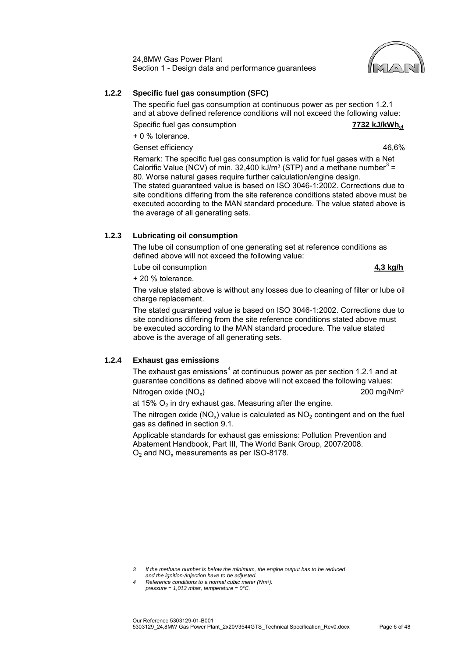24,8MW Gas Power Plant Section 1 - Design data and performance guarantees

## **1.2.2 Specific fuel gas consumption (SFC)**

The specific fuel gas consumption at continuous power as per section 1.2.1 and at above defined reference conditions will not exceed the following value: Specific fuel gas consumption **7732 kJ/kWhel**

+ 0 % tolerance.

Genset efficiency and the set of the set of the set of the set of the set of the set of the set of the set of the set of the set of the set of the set of the set of the set of the set of the set of the set of the set of th

Remark: The specific fuel gas consumption is valid for fuel gases with a Net Calorific Value (NCV) of min. [3](#page-7-0)2,400 kJ/m<sup>3</sup> (STP) and a methane number<sup>3</sup> = 80. Worse natural gases require further calculation/engine design. The stated guaranteed value is based on ISO 3046-1:2002. Corrections due to site conditions differing from the site reference conditions stated above must be executed according to the MAN standard procedure. The value stated above is

## **1.2.3 Lubricating oil consumption**

the average of all generating sets.

The lube oil consumption of one generating set at reference conditions as defined above will not exceed the following value:

Lube oil consumption **4,3 kg/h**

+ 20 % tolerance.

The value stated above is without any losses due to cleaning of filter or lube oil charge replacement.

The stated guaranteed value is based on ISO 3046-1:2002. Corrections due to site conditions differing from the site reference conditions stated above must be executed according to the MAN standard procedure. The value stated above is the average of all generating sets.

## **1.2.4 Exhaust gas emissions**

The exhaust gas emissions<sup>[4](#page-7-1)</sup> at continuous power as per section 1.2.1 and at guarantee conditions as defined above will not exceed the following values:

Nitrogen oxide  $(NO_x)$  200 mg/Nm<sup>3</sup>

at 15%  $O<sub>2</sub>$  in dry exhaust gas. Measuring after the engine.

The nitrogen oxide (NO<sub>x</sub>) value is calculated as  $NO<sub>2</sub>$  contingent and on the fuel gas as defined in section [9.1.](#page-42-1)

Applicable standards for exhaust gas emissions: Pollution Prevention and Abatement Handbook, Part III, The World Bank Group, 2007/2008.  $O<sub>2</sub>$  and NO<sub>x</sub> measurements as per ISO-8178.

<span id="page-7-0"></span>*3 If the methane number is below the minimum, the engine output has to be reduced and the ignition-/injection have to be adjusted.* j



<span id="page-7-1"></span>*<sup>4</sup> Reference conditions to a normal cubic meter (Nm³): pressure = 1,013 mbar, temperature = 0°C.*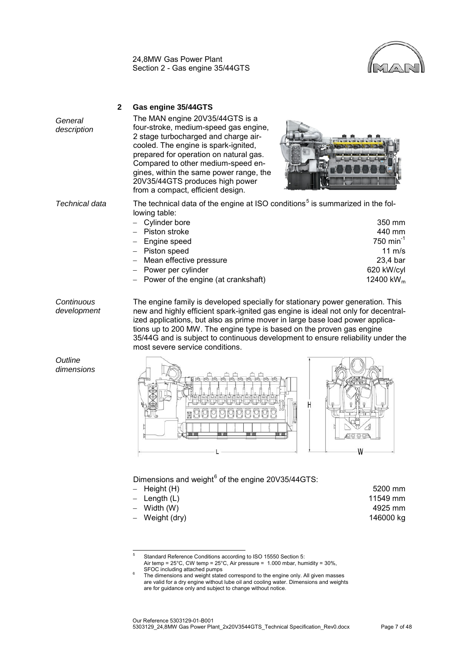24,8MW Gas Power Plant Section 2 - Gas engine 35/44GTS



<span id="page-8-0"></span>

|                        | $\mathbf{2}$ | Gas engine 35/44GTS                                                                                                                                                                                                                                                                                                                                         |                                                                                                                  |
|------------------------|--------------|-------------------------------------------------------------------------------------------------------------------------------------------------------------------------------------------------------------------------------------------------------------------------------------------------------------------------------------------------------------|------------------------------------------------------------------------------------------------------------------|
| General<br>description |              | The MAN engine 20V35/44GTS is a<br>four-stroke, medium-speed gas engine,<br>2 stage turbocharged and charge air-<br>cooled. The engine is spark-ignited,<br>prepared for operation on natural gas.<br>Compared to other medium-speed en-<br>gines, within the same power range, the<br>20V35/44GTS produces high power<br>from a compact, efficient design. |                                                                                                                  |
| Technical data         |              | The technical data of the engine at ISO conditions <sup>5</sup> is summarized in the fol-<br>lowing table:<br>Cylinder bore<br>Piston stroke<br>Engine speed<br>Piston speed<br>Mean effective pressure<br>Power per cylinder<br>Power of the engine (at crankshaft)                                                                                        | 350 mm<br>440 mm<br>750 min <sup>-1</sup><br>$11 \text{ m/s}$<br>23,4 bar<br>620 kW/cyl<br>12400 kW <sub>m</sub> |

*Continuous development* The engine family is developed specially for stationary power generation. This new and highly efficient spark-ignited gas engine is ideal not only for decentralized applications, but also as prime mover in large base load power applications up to 200 MW. The engine type is based on the proven gas engine 35/44G and is subject to continuous development to ensure reliability under the most severe service conditions.



## Dimensions and weight $^6$  $^6$  of the engine 20V35/44GTS:

| – Height (H)   | 5200 mm   |
|----------------|-----------|
| – Length (L)   | 11549 mm  |
| – Width (W)    | 4925 mm   |
| - Weight (dry) | 146000 kg |
|                |           |

<span id="page-8-2"></span><span id="page-8-1"></span><sup>5</sup> Standard Reference Conditions according to ISO 15550 Section 5: Air temp =  $25^{\circ}$ C, CW temp =  $25^{\circ}$ C, Air pressure = 1.000 mbar, humidity = 30%, SFOC including attached pumps  $\overline{5}$ 

*Outline dimensions*

> The dimensions and weight stated correspond to the engine only. All given masses are valid for a dry engine without lube oil and cooling water. Dimensions and weights are for guidance only and subject to change without notice.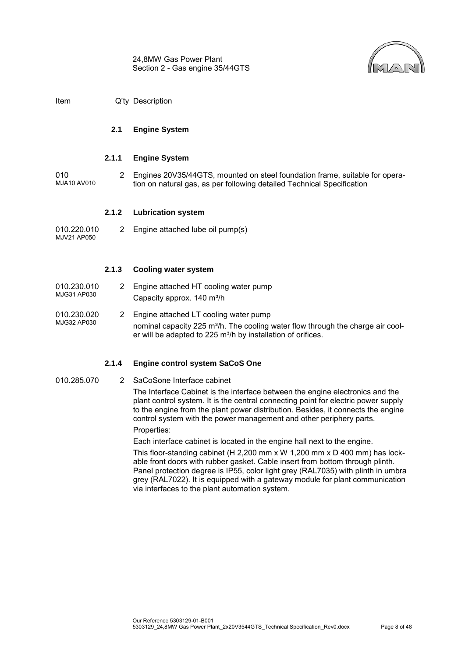

<span id="page-9-0"></span>Item Q'ty Description

## **2.1 Engine System**

#### **2.1.1 Engine System**

010 MJA10 AV010 2 Engines 20V35/44GTS, mounted on steel foundation frame, suitable for operation on natural gas, as per following detailed Technical Specification

#### **2.1.2 Lubrication system**

010.220.010 MJV21 AP050 2 Engine attached lube oil pump(s)

#### **2.1.3 Cooling water system**

| 010.230.010 | 2 Engine attached HT cooling water pump |
|-------------|-----------------------------------------|
| MJG31 AP030 | Capacity approx. 140 m <sup>3</sup> /h  |

#### 010.230.020 MJG32 AP030 2 Engine attached LT cooling water pump nominal capacity 225 m<sup>3</sup>/h. The cooling water flow through the charge air cooler will be adapted to 225 m<sup>3</sup>/h by installation of orifices.

#### **2.1.4 Engine control system SaCoS One**

010.285.070 2 SaCoSone Interface cabinet

The Interface Cabinet is the interface between the engine electronics and the plant control system. It is the central connecting point for electric power supply to the engine from the plant power distribution. Besides, it connects the engine control system with the power management and other periphery parts.

Properties:

Each interface cabinet is located in the engine hall next to the engine.

This floor-standing cabinet (H 2,200 mm x W 1,200 mm x D 400 mm) has lockable front doors with rubber gasket. Cable insert from bottom through plinth. Panel protection degree is IP55, color light grey (RAL7035) with plinth in umbra grey (RAL7022). It is equipped with a gateway module for plant communication via interfaces to the plant automation system.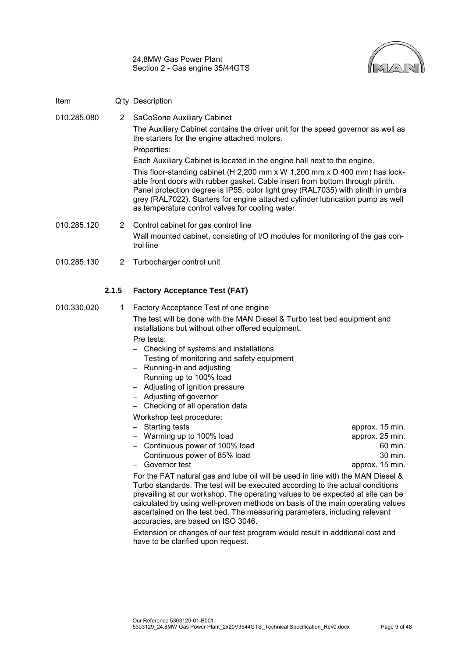24,8MW Gas Power Plant Section 2 - Gas engine 35/44GTS



Item Q'ty Description

010.285.080 2 SaCoSone Auxiliary Cabinet The Auxiliary Cabinet contains the driver unit for the speed governor as well as the starters for the engine attached motors. Properties: Each Auxiliary Cabinet is located in the engine hall next to the engine.

This floor-standing cabinet (H 2,200 mm x W 1,200 mm x D 400 mm) has lockable front doors with rubber gasket. Cable insert from bottom through plinth. Panel protection degree is IP55, color light grey (RAL7035) with plinth in umbra grey (RAL7022). Starters for engine attached cylinder lubrication pump as well as temperature control valves for cooling water.

- 010.285.120 2 Control cabinet for gas control line Wall mounted cabinet, consisting of I/O modules for monitoring of the gas control line
- 010.285.130 2 Turbocharger control unit

## **2.1.5 Factory Acceptance Test (FAT)**

- 010.330.020 1 Factory Acceptance Test of one engine The test will be done with the MAN Diesel & Turbo test bed equipment and installations but without other offered equipment. Pre tests:
	- − Checking of systems and installations
	- − Testing of monitoring and safety equipment
	- − Running-in and adjusting
	- − Running up to 100% load
	- − Adjusting of ignition pressure
	- − Adjusting of governor
	- − Checking of all operation data

Workshop test procedure:

− Starting tests approx. 15 min. − Warming up to 100% load approx. 25 min. − Continuous power of 100% load 60 min. − Continuous power of 85% load 30 min. − Governor test approx. 15 min.

For the FAT natural gas and lube oil will be used in line with the MAN Diesel & Turbo standards. The test will be executed according to the actual conditions prevailing at our workshop. The operating values to be expected at site can be calculated by using well-proven methods on basis of the main operating values ascertained on the test bed. The measuring parameters, including relevant accuracies, are based on ISO 3046.

Extension or changes of our test program would result in additional cost and have to be clarified upon request.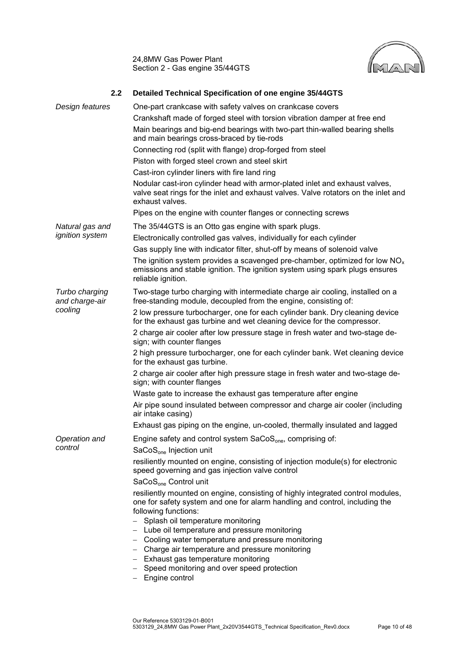24,8MW Gas Power Plant Section 2 - Gas engine 35/44GTS



<span id="page-11-0"></span>

| 2.2                              | Detailed Technical Specification of one engine 35/44GTS                                                                                                                                |
|----------------------------------|----------------------------------------------------------------------------------------------------------------------------------------------------------------------------------------|
| Design features                  | One-part crankcase with safety valves on crankcase covers<br>Crankshaft made of forged steel with torsion vibration damper at free end                                                 |
|                                  | Main bearings and big-end bearings with two-part thin-walled bearing shells<br>and main bearings cross-braced by tie-rods                                                              |
|                                  | Connecting rod (split with flange) drop-forged from steel                                                                                                                              |
|                                  | Piston with forged steel crown and steel skirt                                                                                                                                         |
|                                  | Cast-iron cylinder liners with fire land ring                                                                                                                                          |
|                                  | Nodular cast-iron cylinder head with armor-plated inlet and exhaust valves,<br>valve seat rings for the inlet and exhaust valves. Valve rotators on the inlet and<br>exhaust valves.   |
|                                  | Pipes on the engine with counter flanges or connecting screws                                                                                                                          |
| Natural gas and                  | The 35/44GTS is an Otto gas engine with spark plugs.                                                                                                                                   |
| <i>ignition</i> system           | Electronically controlled gas valves, individually for each cylinder                                                                                                                   |
|                                  | Gas supply line with indicator filter, shut-off by means of solenoid valve                                                                                                             |
|                                  | The ignition system provides a scavenged pre-chamber, optimized for low $NOx$<br>emissions and stable ignition. The ignition system using spark plugs ensures<br>reliable ignition.    |
| Turbo charging<br>and charge-air | Two-stage turbo charging with intermediate charge air cooling, installed on a<br>free-standing module, decoupled from the engine, consisting of:                                       |
| cooling                          | 2 low pressure turbocharger, one for each cylinder bank. Dry cleaning device<br>for the exhaust gas turbine and wet cleaning device for the compressor.                                |
|                                  | 2 charge air cooler after low pressure stage in fresh water and two-stage de-<br>sign; with counter flanges                                                                            |
|                                  | 2 high pressure turbocharger, one for each cylinder bank. Wet cleaning device<br>for the exhaust gas turbine.                                                                          |
|                                  | 2 charge air cooler after high pressure stage in fresh water and two-stage de-<br>sign; with counter flanges                                                                           |
|                                  | Waste gate to increase the exhaust gas temperature after engine                                                                                                                        |
|                                  | Air pipe sound insulated between compressor and charge air cooler (including<br>air intake casing)                                                                                     |
|                                  | Exhaust gas piping on the engine, un-cooled, thermally insulated and lagged                                                                                                            |
| Operation and<br>control         | Engine safety and control system SaCoS <sub>one</sub> , comprising of:<br>SaCoS <sub>one</sub> Injection unit                                                                          |
|                                  | resiliently mounted on engine, consisting of injection module(s) for electronic<br>speed governing and gas injection valve control                                                     |
|                                  | SaCoS <sub>one</sub> Control unit                                                                                                                                                      |
|                                  | resiliently mounted on engine, consisting of highly integrated control modules,<br>one for safety system and one for alarm handling and control, including the<br>following functions: |
|                                  | Splash oil temperature monitoring<br>Lube oil temperature and pressure monitoring<br>- Cooling water temperature and pressure monitoring                                               |
|                                  | - Charge air temperature and pressure monitoring                                                                                                                                       |
|                                  | - Exhaust gas temperature monitoring<br>- Speed monitoring and over speed protection<br>Engine control                                                                                 |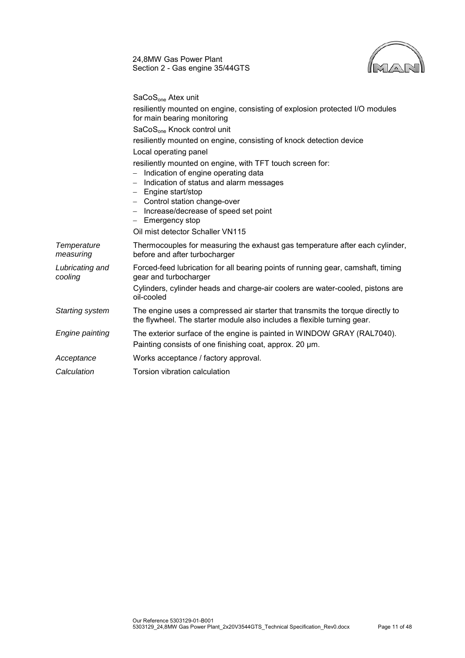|                            | 24,8MW Gas Power Plant<br>Section 2 - Gas engine 35/44GTS                                                                                                                                                                                                                                                                  |
|----------------------------|----------------------------------------------------------------------------------------------------------------------------------------------------------------------------------------------------------------------------------------------------------------------------------------------------------------------------|
|                            | SaCoS <sub>one</sub> Atex unit<br>resiliently mounted on engine, consisting of explosion protected I/O modules<br>for main bearing monitoring                                                                                                                                                                              |
|                            | SaCoS <sub>one</sub> Knock control unit<br>resiliently mounted on engine, consisting of knock detection device                                                                                                                                                                                                             |
|                            | Local operating panel<br>resiliently mounted on engine, with TFT touch screen for:<br>Indication of engine operating data<br>Indication of status and alarm messages<br>Engine start/stop<br>- Control station change-over<br>Increase/decrease of speed set point<br>- Emergency stop<br>Oil mist detector Schaller VN115 |
| Temperature<br>measuring   | Thermocouples for measuring the exhaust gas temperature after each cylinder,<br>before and after turbocharger                                                                                                                                                                                                              |
| Lubricating and<br>cooling | Forced-feed lubrication for all bearing points of running gear, camshaft, timing<br>gear and turbocharger<br>Cylinders, cylinder heads and charge-air coolers are water-cooled, pistons are<br>oil-cooled                                                                                                                  |
| <b>Starting system</b>     | The engine uses a compressed air starter that transmits the torque directly to<br>the flywheel. The starter module also includes a flexible turning gear.                                                                                                                                                                  |
| Engine painting            | The exterior surface of the engine is painted in WINDOW GRAY (RAL7040).<br>Painting consists of one finishing coat, approx. 20 µm.                                                                                                                                                                                         |
| Acceptance                 | Works acceptance / factory approval.                                                                                                                                                                                                                                                                                       |
| Calculation                | Torsion vibration calculation                                                                                                                                                                                                                                                                                              |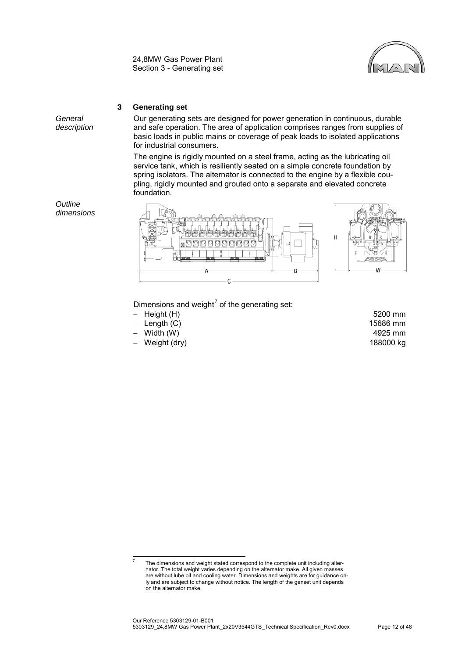24,8MW Gas Power Plant Section 3 - Generating set



## **3 Generating set**

<span id="page-13-0"></span>*General description* Our generating sets are designed for power generation in continuous, durable and safe operation. The area of application comprises ranges from supplies of basic loads in public mains or coverage of peak loads to isolated applications for industrial consumers.

The engine is rigidly mounted on a steel frame, acting as the lubricating oil service tank, which is resiliently seated on a simple concrete foundation by spring isolators. The alternator is connected to the engine by a flexible coupling, rigidly mounted and grouted onto a separate and elevated concrete foundation.



Dimensions and weight<sup>[7](#page-13-1)</sup> of the generating set:

- − Height (H) 5200 mm
- 
- Width (W)
- − Weight (dry) 188000 kg

 $\text{Length (C)}$ 15686 mm<br>
Width (W) 4925 mm

*Outline dimensions*

<span id="page-13-1"></span>The dimensions and weight stated correspond to the complete unit including alternator. The total weight varies depending on the alternator make. All given masses are without lube oil and cooling water. Dimensions and weights are for guidance only and are subject to change without notice. The length of the genset unit depends on the alternator make.  $\overline{a}$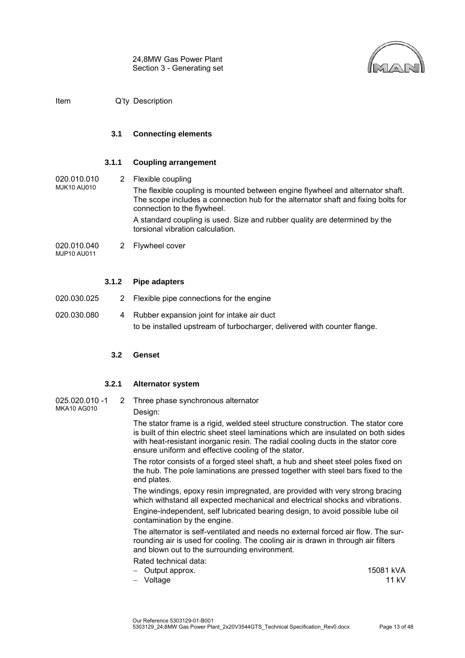24,8MW Gas Power Plant Section 3 - Generating set



<span id="page-14-0"></span>Item Q'ty Description

MJP10 AU011

#### **3.1 Connecting elements**

#### **3.1.1 Coupling arrangement**

020.010.010 MJK10 AU010 2 Flexible coupling The flexible coupling is mounted between engine flywheel and alternator shaft. The scope includes a connection hub for the alternator shaft and fixing bolts for connection to the flywheel. A standard coupling is used. Size and rubber quality are determined by the torsional vibration calculation. 020.010.040 2 Flywheel cover

**3.1.2 Pipe adapters**

- 020.030.025 2 Flexible pipe connections for the engine
- <span id="page-14-1"></span>020.030.080 4 Rubber expansion joint for intake air duct to be installed upstream of turbocharger, delivered with counter flange.

#### **3.2 Genset**

#### **3.2.1 Alternator system**

025.020.010 -1 MKA10 AG010 2 Three phase synchronous alternator

Design:

The stator frame is a rigid, welded steel structure construction. The stator core is built of thin electric sheet steel laminations which are insulated on both sides with heat-resistant inorganic resin. The radial cooling ducts in the stator core ensure uniform and effective cooling of the stator.

The rotor consists of a forged steel shaft, a hub and sheet steel poles fixed on the hub. The pole laminations are pressed together with steel bars fixed to the end plates.

The windings, epoxy resin impregnated, are provided with very strong bracing which withstand all expected mechanical and electrical shocks and vibrations.

Engine-independent, self lubricated bearing design, to avoid possible lube oil contamination by the engine.

The alternator is self-ventilated and needs no external forced air flow. The surrounding air is used for cooling. The cooling air is drawn in through air filters and blown out to the surrounding environment.

- Rated technical data:
- − Output approx. 15081 kVA
- − Voltage 11 kV
- Our Reference 5303129-01-B001 5303129\_24,8MW Gas Power Plant\_2x20V3544GTS\_Technical Specification\_Rev0.docx Page 13 of 48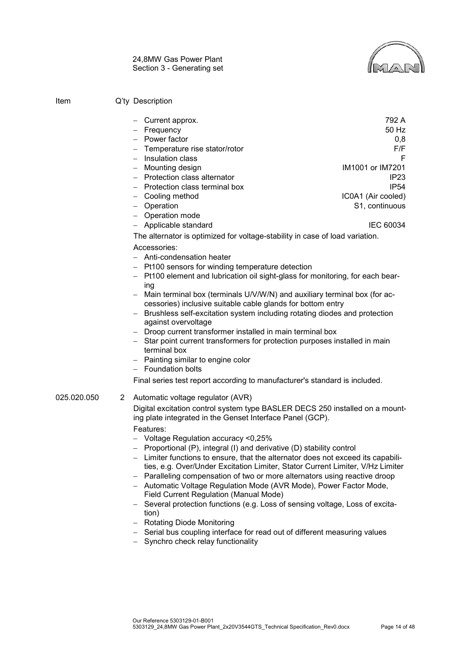

24,8MW Gas Power Plant Section 3 - Generating set

| Item | Q'ty Description |
|------|------------------|
|------|------------------|

025.020.050

|   | $-$ Current approx.                                                                                                                                              | 792 A                    |
|---|------------------------------------------------------------------------------------------------------------------------------------------------------------------|--------------------------|
|   | - Frequency                                                                                                                                                      | 50 Hz                    |
|   | - Power factor                                                                                                                                                   | 0,8                      |
|   | - Temperature rise stator/rotor                                                                                                                                  | F/F                      |
|   | Insulation class                                                                                                                                                 | F                        |
|   | - Mounting design<br>- Protection class alternator                                                                                                               | IM1001 or IM7201<br>IP23 |
|   | - Protection class terminal box                                                                                                                                  | <b>IP54</b>              |
|   | Cooling method<br>-                                                                                                                                              | IC0A1 (Air cooled)       |
|   | - Operation                                                                                                                                                      | S1, continuous           |
|   | - Operation mode                                                                                                                                                 |                          |
|   | - Applicable standard                                                                                                                                            | IEC 60034                |
|   | The alternator is optimized for voltage-stability in case of load variation.                                                                                     |                          |
|   | Accessories:                                                                                                                                                     |                          |
|   | - Anti-condensation heater                                                                                                                                       |                          |
|   | - Pt100 sensors for winding temperature detection                                                                                                                |                          |
|   | - Pt100 element and lubrication oil sight-glass for monitoring, for each bear-<br>ing                                                                            |                          |
|   | Main terminal box (terminals U/V/W/N) and auxiliary terminal box (for ac-                                                                                        |                          |
|   | cessories) inclusive suitable cable glands for bottom entry                                                                                                      |                          |
|   | Brushless self-excitation system including rotating diodes and protection<br>against overvoltage                                                                 |                          |
|   | - Droop current transformer installed in main terminal box                                                                                                       |                          |
|   | - Star point current transformers for protection purposes installed in main<br>terminal box                                                                      |                          |
|   | - Painting similar to engine color                                                                                                                               |                          |
|   | - Foundation bolts                                                                                                                                               |                          |
|   | Final series test report according to manufacturer's standard is included.                                                                                       |                          |
| 2 | Automatic voltage regulator (AVR)                                                                                                                                |                          |
|   | Digital excitation control system type BASLER DECS 250 installed on a mount-<br>ing plate integrated in the Genset Interface Panel (GCP).                        |                          |
|   | Features:                                                                                                                                                        |                          |
|   | Voltage Regulation accuracy <0,25%                                                                                                                               |                          |
|   | - Proportional (P), integral (I) and derivative (D) stability control                                                                                            |                          |
|   | Limiter functions to ensure, that the alternator does not exceed its capabili-<br>ties, e.g. Over/Under Excitation Limiter, Stator Current Limiter, V/Hz Limiter |                          |
|   | Paralleling compensation of two or more alternators using reactive droop                                                                                         |                          |
|   | - Automatic Voltage Regulation Mode (AVR Mode), Power Factor Mode,                                                                                               |                          |
|   | Field Current Regulation (Manual Mode)                                                                                                                           |                          |
|   | Several protection functions (e.g. Loss of sensing voltage, Loss of excita-                                                                                      |                          |
|   | tion)                                                                                                                                                            |                          |
|   | <b>Rotating Diode Monitoring</b>                                                                                                                                 |                          |

- − Serial bus coupling interface for read out of different measuring values
- − Synchro check relay functionality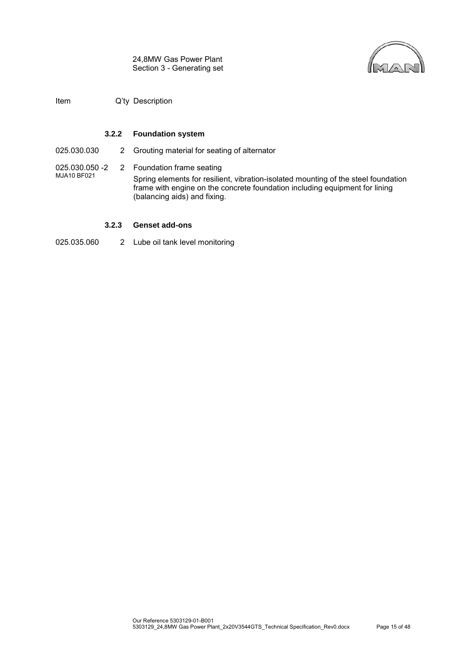



Item Q'ty Description

#### **3.2.2 Foundation system**

025.030.030 2 Grouting material for seating of alternator

025.030.050 -2 MJA10 BF021 2 Foundation frame seating Spring elements for resilient, vibration-isolated mounting of the steel foundation frame with engine on the concrete foundation including equipment for lining (balancing aids) and fixing.

#### **3.2.3 Genset add-ons**

025.035.060 2 Lube oil tank level monitoring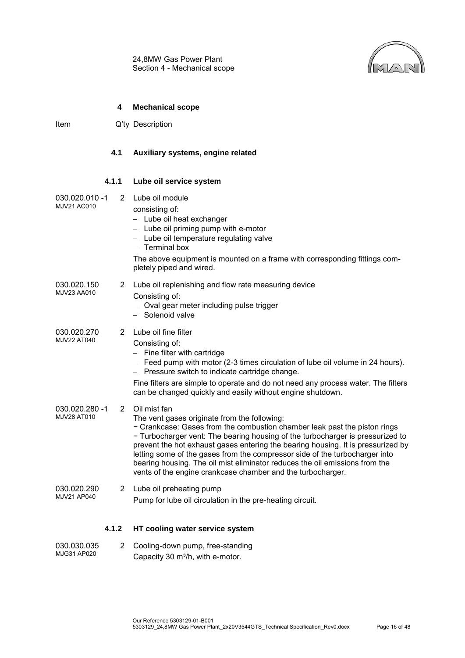24,8MW Gas Power Plant Section 4 - Mechanical scope



#### **4 Mechanical scope**

<span id="page-17-1"></span><span id="page-17-0"></span>Item Q'ty Description

#### **4.1 Auxiliary systems, engine related**

#### **4.1.1 Lube oil service system**

- 030.020.010 -1 MJV21 AC010 2 Lube oil module
	- consisting of:
		- − Lube oil heat exchanger
		- − Lube oil priming pump with e-motor
		- − Lube oil temperature regulating valve
		- − Terminal box
		- The above equipment is mounted on a frame with corresponding fittings completely piped and wired.
- 030.020.150 MJV23 AA010 2 Lube oil replenishing and flow rate measuring device Consisting of:
	- − Oval gear meter including pulse trigger
	- − Solenoid valve
- 030.020.270 MJV22 AT040 2 Lube oil fine filter
	- Consisting of:
		- − Fine filter with cartridge
		- − Feed pump with motor (2-3 times circulation of lube oil volume in 24 hours).
		- − Pressure switch to indicate cartridge change.
		- Fine filters are simple to operate and do not need any process water. The filters can be changed quickly and easily without engine shutdown.
- 030.020.280 -1 MJV28 AT010 2 Oil mist fan The vent gases originate from the following: − Crankcase: Gases from the combustion chamber leak past the piston rings − Turbocharger vent: The bearing housing of the turbocharger is pressurized to prevent the hot exhaust gases entering the bearing housing. It is pressurized by letting some of the gases from the compressor side of the turbocharger into bearing housing. The oil mist eliminator reduces the oil emissions from the vents of the engine crankcase chamber and the turbocharger. 030.020.290 2 Lube oil preheating pump
- MJV21 AP040 Pump for lube oil circulation in the pre-heating circuit.

## **4.1.2 HT cooling water service system**

030.030.035 MJG31 AP020 2 Cooling-down pump, free-standing Capacity 30 m<sup>3</sup>/h, with e-motor.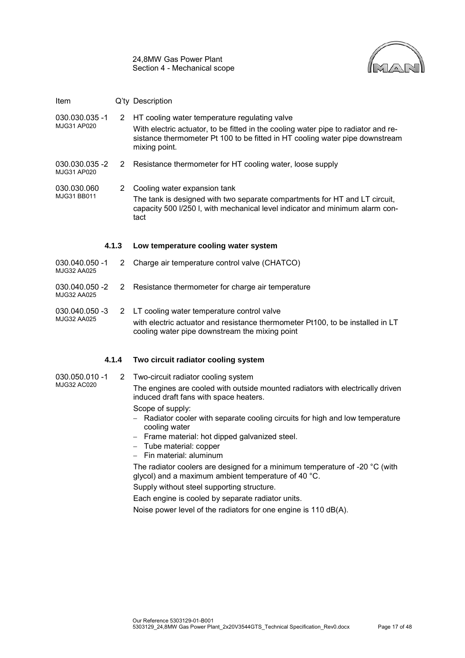

| Item                          |       | Q'ty Description                                                                                                                                                                                                                     |
|-------------------------------|-------|--------------------------------------------------------------------------------------------------------------------------------------------------------------------------------------------------------------------------------------|
| 030.030.035 -1<br>MJG31 AP020 | 2     | HT cooling water temperature regulating valve<br>With electric actuator, to be fitted in the cooling water pipe to radiator and re-<br>sistance thermometer Pt 100 to be fitted in HT cooling water pipe downstream<br>mixing point. |
| 030.030.035 -2<br>MJG31 AP020 | 2     | Resistance thermometer for HT cooling water, loose supply                                                                                                                                                                            |
| 030.030.060<br>MJG31 BB011    | 2     | Cooling water expansion tank<br>The tank is designed with two separate compartments for HT and LT circuit,<br>capacity 500 I/250 I, with mechanical level indicator and minimum alarm con-<br>tact                                   |
|                               | 4.1.3 | Low temperature cooling water system                                                                                                                                                                                                 |
| 030.040.050 -1<br>MJG32 AA025 | 2     | Charge air temperature control valve (CHATCO)                                                                                                                                                                                        |
| 030.040.050 -2<br>MJG32 AA025 | 2     | Resistance thermometer for charge air temperature                                                                                                                                                                                    |
|                               |       |                                                                                                                                                                                                                                      |

030.040.050 -3 MJG32 AA025 2 LT cooling water temperature control valve with electric actuator and resistance thermometer Pt100, to be installed in LT cooling water pipe downstream the mixing point

## **4.1.4 Two circuit radiator cooling system**

- 030.050.010 -1 MJG32 AC020 2 Two-circuit radiator cooling system The engines are cooled with outside mounted radiators with electrically driven induced draft fans with space heaters. Scope of supply:
	- − Radiator cooler with separate cooling circuits for high and low temperature cooling water
	- − Frame material: hot dipped galvanized steel.
	- − Tube material: copper
	- − Fin material: aluminum

The radiator coolers are designed for a minimum temperature of -20 °C (with glycol) and a maximum ambient temperature of 40 °C.

Supply without steel supporting structure.

Each engine is cooled by separate radiator units.

Noise power level of the radiators for one engine is 110 dB(A).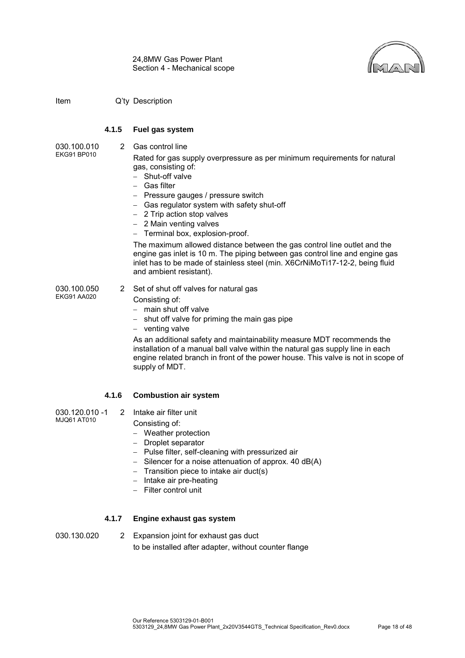

Item Q'ty Description

#### **4.1.5 Fuel gas system**

030.100.010 EKG91 BP010

2 Gas control line

Rated for gas supply overpressure as per minimum requirements for natural gas, consisting of:

- − Shut-off valve
- − Gas filter
- − Pressure gauges / pressure switch
- − Gas regulator system with safety shut-off
- − 2 Trip action stop valves
- − 2 Main venting valves
- − Terminal box, explosion-proof.

The maximum allowed distance between the gas control line outlet and the engine gas inlet is 10 m. The piping between gas control line and engine gas inlet has to be made of stainless steel (min. X6CrNiMoTi17-12-2, being fluid and ambient resistant).

030.100.050 EKG91 AA020

- 2 Set of shut off valves for natural gas
	- Consisting of:
	- − main shut off valve
	- − shut off valve for priming the main gas pipe
	- − venting valve

As an additional safety and maintainability measure MDT recommends the installation of a manual ball valve within the natural gas supply line in each engine related branch in front of the power house. This valve is not in scope of supply of MDT.

## **4.1.6 Combustion air system**

- 030.120.010 -1 MJQ61 AT010 2 Intake air filter unit
	- Consisting of:
	- − Weather protection
	- − Droplet separator
	- − Pulse filter, self-cleaning with pressurized air
	- − Silencer for a noise attenuation of approx. 40 dB(A)
	- − Transition piece to intake air duct(s)
	- − Intake air pre-heating
	- − Filter control unit

## **4.1.7 Engine exhaust gas system**

030.130.020 2 Expansion joint for exhaust gas duct to be installed after adapter, without counter flange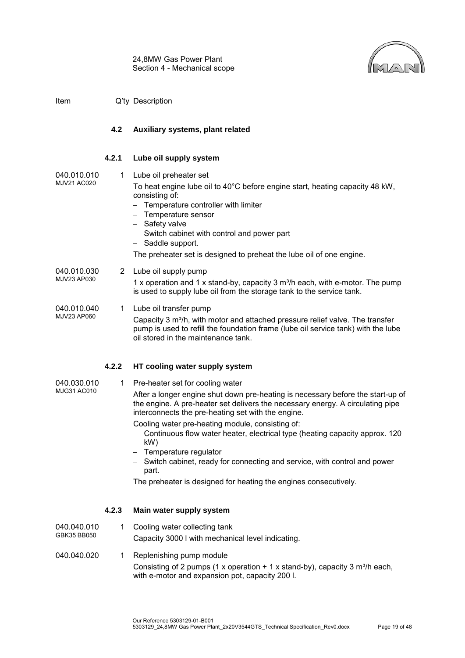

24,8MW Gas Power Plant Section 4 - Mechanical scope

<span id="page-20-0"></span>Item Q'ty Description

## **4.2 Auxiliary systems, plant related**

## **4.2.1 Lube oil supply system**

040.010.010 1 Lube oil preheater set

MJV21 AC020

To heat engine lube oil to 40°C before engine start, heating capacity 48 kW, consisting of:

- Temperature controller with limiter
- − Temperature sensor
- − Safety valve
- − Switch cabinet with control and power part
- − Saddle support.

The preheater set is designed to preheat the lube oil of one engine.

040.010.030 MJV23 AP030 2 Lube oil supply pump

1 x operation and 1 x stand-by, capacity 3  $m^3/h$  each, with e-motor. The pump is used to supply lube oil from the storage tank to the service tank.

040.010.040 MJV23 AP060 1 Lube oil transfer pump

Capacity 3 m<sup>3</sup>/h, with motor and attached pressure relief valve. The transfer pump is used to refill the foundation frame (lube oil service tank) with the lube oil stored in the maintenance tank.

## **4.2.2 HT cooling water supply system**

040.030.010 MJG31 AC010

1 Pre-heater set for cooling water

After a longer engine shut down pre-heating is necessary before the start-up of the engine. A pre-heater set delivers the necessary energy. A circulating pipe interconnects the pre-heating set with the engine.

Cooling water pre-heating module, consisting of:

- − Continuous flow water heater, electrical type (heating capacity approx. 120 kW)
- − Temperature regulator
- − Switch cabinet, ready for connecting and service, with control and power part.

The preheater is designed for heating the engines consecutively.

## **4.2.3 Main water supply system**

040.040.010 GBK35 BB050 1 Cooling water collecting tank Capacity 3000 l with mechanical level indicating.

040.040.020 1 Replenishing pump module Consisting of 2 pumps (1 x operation + 1 x stand-by), capacity 3  $m^3/h$  each, with e-motor and expansion pot, capacity 200 l.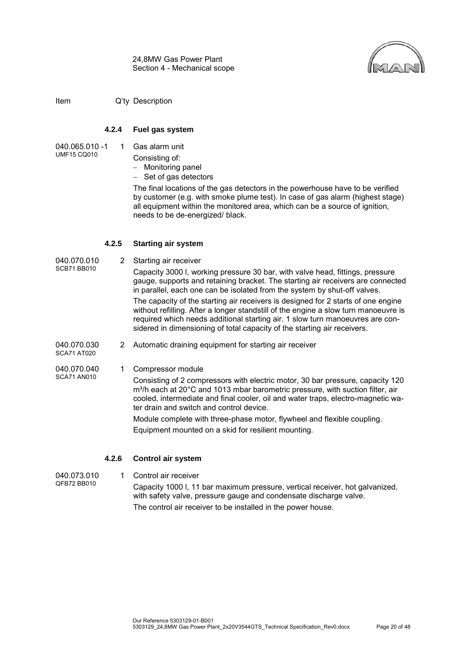24,8MW Gas Power Plant Section 4 - Mechanical scope



Item Q'ty Description

#### **4.2.4 Fuel gas system**

- 040.065.010 -1 UMF15 CQ010
- 1 Gas alarm unit Consisting of:
	- − Monitoring panel
	- − Set of gas detectors
	- The final locations of the gas detectors in the powerhouse have to be verified by customer (e.g. with smoke plume test). In case of gas alarm (highest stage) all equipment within the monitored area, which can be a source of ignition, needs to be de-energized/ black.

#### **4.2.5 Starting air system**

040.070.010 SCB71 BB010 2 Starting air receiver Capacity 3000 l, working pressure 30 bar, with valve head, fittings, pressure gauge, supports and retaining bracket. The starting air receivers are connected in parallel, each one can be isolated from the system by shut-off valves. The capacity of the starting air receivers is designed for 2 starts of one engine without refilling. After a longer standstill of the engine a slow turn manoeuvre is required which needs additional starting air. 1 slow turn manoeuvres are considered in dimensioning of total capacity of the starting air receivers.

040.070.030 SCA71 AT020 2 Automatic draining equipment for starting air receiver

040.070.040 SCA71 AN010

1 Compressor module

Consisting of 2 compressors with electric motor, 30 bar pressure, capacity 120 m<sup>3</sup>/h each at 20°C and 1013 mbar barometric pressure, with suction filter, air cooled, intermediate and final cooler, oil and water traps, electro-magnetic water drain and switch and control device.

Module complete with three-phase motor, flywheel and flexible coupling.

Equipment mounted on a skid for resilient mounting.

## **4.2.6 Control air system**

040.073.010 1 Control air receiver

QFB72 BB010 Capacity 1000 l, 11 bar maximum pressure, vertical receiver, hot galvanized, with safety valve, pressure gauge and condensate discharge valve. The control air receiver to be installed in the power house.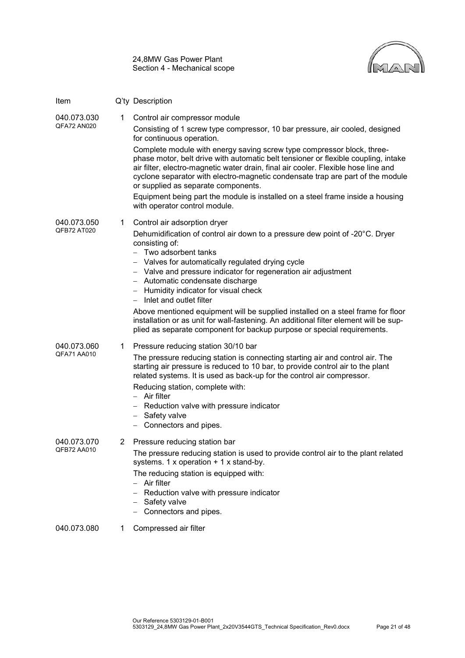| 24,8MW Gas Power Plant       |
|------------------------------|
| Section 4 - Mechanical scope |



| Item                       |   | Q'ty Description                                                                                                                                                                                                                                                                                                                                                                                                                                                                                                                                                                                                                                                      |
|----------------------------|---|-----------------------------------------------------------------------------------------------------------------------------------------------------------------------------------------------------------------------------------------------------------------------------------------------------------------------------------------------------------------------------------------------------------------------------------------------------------------------------------------------------------------------------------------------------------------------------------------------------------------------------------------------------------------------|
| 040.073.030<br>QFA72 AN020 | 1 | Control air compressor module<br>Consisting of 1 screw type compressor, 10 bar pressure, air cooled, designed<br>for continuous operation.<br>Complete module with energy saving screw type compressor block, three-<br>phase motor, belt drive with automatic belt tensioner or flexible coupling, intake<br>air filter, electro-magnetic water drain, final air cooler. Flexible hose line and<br>cyclone separator with electro-magnetic condensate trap are part of the module<br>or supplied as separate components.<br>Equipment being part the module is installed on a steel frame inside a housing<br>with operator control module.                          |
| 040.073.050<br>QFB72 AT020 | 1 | Control air adsorption dryer<br>Dehumidification of control air down to a pressure dew point of -20°C. Dryer<br>consisting of:<br>Two adsorbent tanks<br>Valves for automatically regulated drying cycle<br>- Valve and pressure indicator for regeneration air adjustment<br>- Automatic condensate discharge<br>- Humidity indicator for visual check<br>Inlet and outlet filter<br>$\overline{\phantom{0}}$<br>Above mentioned equipment will be supplied installed on a steel frame for floor<br>installation or as unit for wall-fastening. An additional filter element will be sup-<br>plied as separate component for backup purpose or special requirements. |
| 040.073.060<br>QFA71 AA010 | 1 | Pressure reducing station 30/10 bar<br>The pressure reducing station is connecting starting air and control air. The<br>starting air pressure is reduced to 10 bar, to provide control air to the plant<br>related systems. It is used as back-up for the control air compressor.<br>Reducing station, complete with:<br>Air filter<br>$\equiv$<br>- Reduction valve with pressure indicator<br>Safety valve<br>Connectors and pipes.                                                                                                                                                                                                                                 |
| 040.073.070<br>QFB72 AA010 | 2 | Pressure reducing station bar<br>The pressure reducing station is used to provide control air to the plant related<br>systems. 1 x operation + 1 x stand-by.<br>The reducing station is equipped with:<br>Air filter<br>Reduction valve with pressure indicator<br>Safety valve<br>Connectors and pipes.                                                                                                                                                                                                                                                                                                                                                              |
| 040.073.080                | 1 | Compressed air filter                                                                                                                                                                                                                                                                                                                                                                                                                                                                                                                                                                                                                                                 |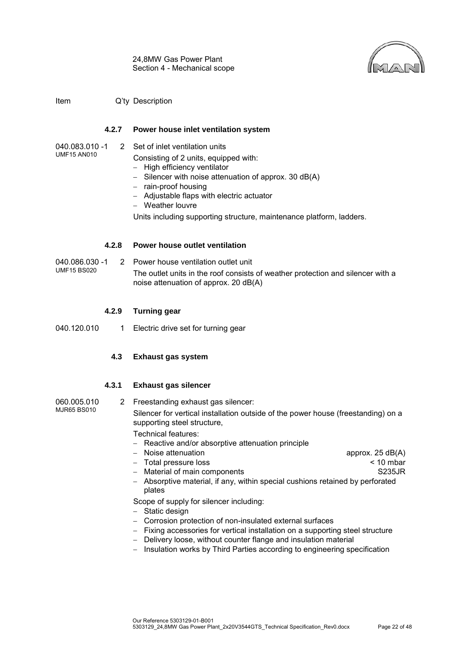



Item Q'ty Description

#### **4.2.7 Power house inlet ventilation system**

040.083.010 -1 UMF15 AN010 2 Set of inlet ventilation units

Consisting of 2 units, equipped with:

- − High efficiency ventilator
- − Silencer with noise attenuation of approx. 30 dB(A)
- − rain-proof housing
- − Adjustable flaps with electric actuator
- − Weather louvre

Units including supporting structure, maintenance platform, ladders.

#### **4.2.8 Power house outlet ventilation**

040.086.030 -1 UMF15 BS020 2 Power house ventilation outlet unit The outlet units in the roof consists of weather protection and silencer with a noise attenuation of approx. 20 dB(A)

#### **4.2.9 Turning gear**

<span id="page-23-0"></span>040.120.010 1 Electric drive set for turning gear

## **4.3 Exhaust gas system**

#### **4.3.1 Exhaust gas silencer**

- 060.005.010 MJR65 BS010 2 Freestanding exhaust gas silencer: Silencer for vertical installation outside of the power house (freestanding) on a supporting steel structure, Technical features:
	- − Reactive and/or absorptive attenuation principle
	- − Noise attenuation approx. 25 dB(A)
	- − Total pressure loss < 10 mbar
	- − Material of main components S235JR
	- − Absorptive material, if any, within special cushions retained by perforated plates

Scope of supply for silencer including:

- − Static design
- − Corrosion protection of non-insulated external surfaces
- − Fixing accessories for vertical installation on a supporting steel structure
- − Delivery loose, without counter flange and insulation material
- − Insulation works by Third Parties according to engineering specification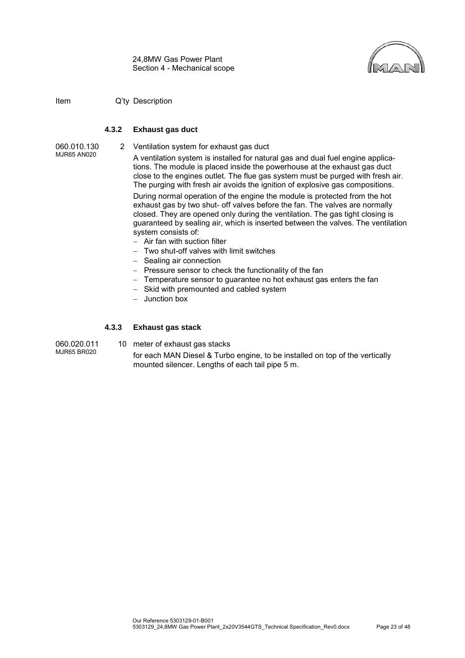

Item Q'ty Description

#### **4.3.2 Exhaust gas duct**

060.010.130

2 Ventilation system for exhaust gas duct

- MJR65 AN020 A ventilation system is installed for natural gas and dual fuel engine applications. The module is placed inside the powerhouse at the exhaust gas duct close to the engines outlet. The flue gas system must be purged with fresh air. The purging with fresh air avoids the ignition of explosive gas compositions. During normal operation of the engine the module is protected from the hot exhaust gas by two shut- off valves before the fan. The valves are normally closed. They are opened only during the ventilation. The gas tight closing is guaranteed by sealing air, which is inserted between the valves. The ventilation system consists of:
	- − Air fan with suction filter
	- − Two shut-off valves with limit switches
	- − Sealing air connection
	- − Pressure sensor to check the functionality of the fan
	- − Temperature sensor to guarantee no hot exhaust gas enters the fan
	- − Skid with premounted and cabled system
	- − Junction box

## **4.3.3 Exhaust gas stack**

060.020.011 MJR65 BR020

10 meter of exhaust gas stacks

for each MAN Diesel & Turbo engine, to be installed on top of the vertically mounted silencer. Lengths of each tail pipe 5 m.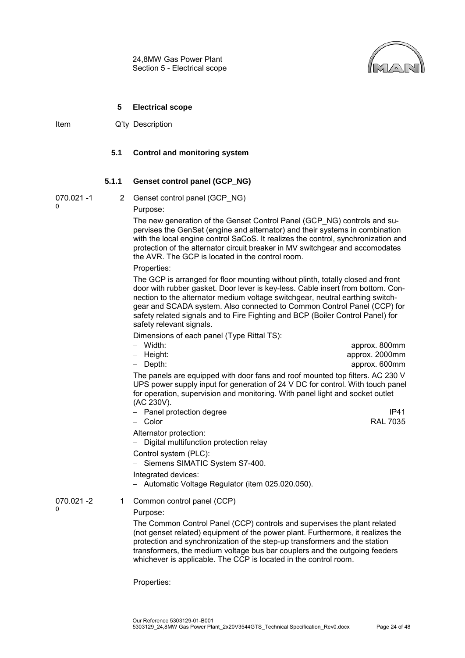

#### **5 Electrical scope**

<span id="page-25-1"></span><span id="page-25-0"></span>Item Q'ty Description

#### **5.1 Control and monitoring system**

## **5.1.1 Genset control panel (GCP\_NG)**

- 070.021 -1  $\Omega$
- 2 Genset control panel (GCP\_NG) Purpose:

The new generation of the Genset Control Panel (GCP\_NG) controls and supervises the GenSet (engine and alternator) and their systems in combination with the local engine control SaCoS. It realizes the control, synchronization and protection of the alternator circuit breaker in MV switchgear and accomodates the AVR. The GCP is located in the control room.

Properties:

The GCP is arranged for floor mounting without plinth, totally closed and front door with rubber gasket. Door lever is key-less. Cable insert from bottom. Connection to the alternator medium voltage switchgear, neutral earthing switchgear and SCADA system. Also connected to Common Control Panel (CCP) for safety related signals and to Fire Fighting and BCP (Boiler Control Panel) for safety relevant signals.

Dimensions of each panel (Type Rittal TS):

| – Width:                                                                              | approx. 800mm  |
|---------------------------------------------------------------------------------------|----------------|
| – Height:                                                                             | approx. 2000mm |
| – Depth:                                                                              | approx. 600mm  |
| The nanole are equipped with dear fang and reaf mounted top filters $\Lambda$ C 220 V |                |

The panels are equipped with door fans and roof mounted top filters. AC 230 V UPS power supply input for generation of 24 V DC for control. With touch panel for operation, supervision and monitoring. With panel light and socket outlet (AC 230V).

− Panel protection degree IP41

− Color RAL 7035

Alternator protection:

− Digital multifunction protection relay

Control system (PLC):

Siemens SIMATIC System S7-400.

Integrated devices:

− Automatic Voltage Regulator (item 025.020.050).

070.021 -2  $\Omega$ 

#### 1 Common control panel (CCP)

Purpose:

The Common Control Panel (CCP) controls and supervises the plant related (not genset related) equipment of the power plant. Furthermore, it realizes the protection and synchronization of the step-up transformers and the station transformers, the medium voltage bus bar couplers and the outgoing feeders whichever is applicable. The CCP is located in the control room.

Properties: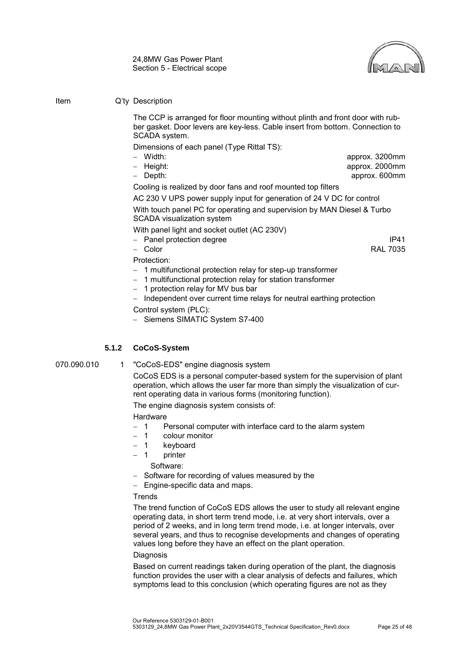

#### Item Q'ty Description

The CCP is arranged for floor mounting without plinth and front door with rubber gasket. Door levers are key-less. Cable insert from bottom. Connection to SCADA system.

Dimensions of each panel (Type Rittal TS):

- 
- − Width: approx. 3200mm − Height: approx. 2000mm − Depth: approx. 600mm
- 

Cooling is realized by door fans and roof mounted top filters

AC 230 V UPS power supply input for generation of 24 V DC for control

With touch panel PC for operating and supervision by MAN Diesel & Turbo SCADA visualization system

With panel light and socket outlet (AC 230V)

− Panel protection degree IP41

− Color RAL 7035

- Protection:
- − 1 multifunctional protection relay for step-up transformer
- − 1 multifunctional protection relay for station transformer
- − 1 protection relay for MV bus bar

Independent over current time relays for neutral earthing protection Control system (PLC):

− Siemens SIMATIC System S7-400

## **5.1.2 CoCoS-System**

070.090.010 1 "CoCoS-EDS" engine diagnosis system

CoCoS EDS is a personal computer-based system for the supervision of plant operation, which allows the user far more than simply the visualization of current operating data in various forms (monitoring function).

The engine diagnosis system consists of:

#### Hardware

- − 1 Personal computer with interface card to the alarm system
- − 1 colour monitor
- − 1 keyboard
- − 1 printer

Software:

- − Software for recording of values measured by the
- − Engine-specific data and maps.

#### **Trends**

The trend function of CoCoS EDS allows the user to study all relevant engine operating data, in short term trend mode, i.e. at very short intervals, over a period of 2 weeks, and in long term trend mode, i.e. at longer intervals, over several years, and thus to recognise developments and changes of operating values long before they have an effect on the plant operation.

#### Diagnosis

Based on current readings taken during operation of the plant, the diagnosis function provides the user with a clear analysis of defects and failures, which symptoms lead to this conclusion (which operating figures are not as they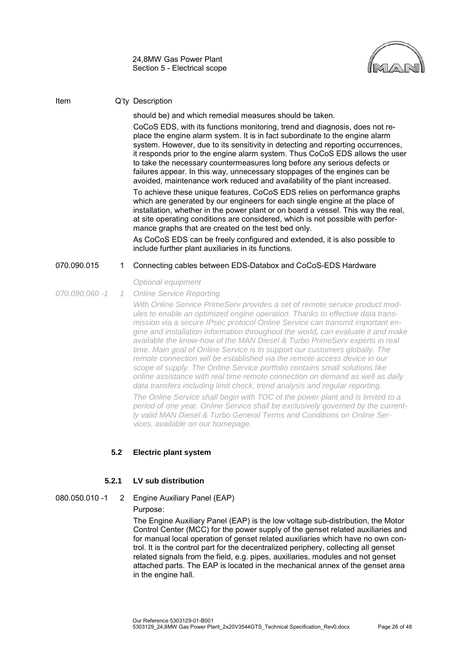

#### Item Q'ty Description

should be) and which remedial measures should be taken.

CoCoS EDS, with its functions monitoring, trend and diagnosis, does not replace the engine alarm system. It is in fact subordinate to the engine alarm system. However, due to its sensitivity in detecting and reporting occurrences, it responds prior to the engine alarm system. Thus CoCoS EDS allows the user to take the necessary countermeasures long before any serious defects or failures appear. In this way, unnecessary stoppages of the engines can be avoided, maintenance work reduced and availability of the plant increased.

To achieve these unique features, CoCoS EDS relies on performance graphs which are generated by our engineers for each single engine at the place of installation, whether in the power plant or on board a vessel. This way the real, at site operating conditions are considered, which is not possible with performance graphs that are created on the test bed only.

As CoCoS EDS can be freely configured and extended, it is also possible to include further plant auxiliaries in its functions.

#### 070.090.015 1 Connecting cables between EDS-Databox and CoCoS-EDS Hardware

*Optional equipment*

*070.090.060 -1 1 Online Service Reporting*

> *With Online Service PrimeServ provides a set of remote service product modules to enable an optimized engine operation. Thanks to effective data transmission via a secure IPsec protocol Online Service can transmit important engine and installation information throughout the world, can evaluate it and make available the know-how of the MAN Diesel & Turbo PrimeServ experts in real time. Main goal of Online Service is to support our customers globally. The remote connection will be established via the remote access device in our scope of supply. The Online Service portfolio contains small solutions like online assistance with real time remote connection on demand as well as daily data transfers including limit check, trend analysis and regular reporting. The Online Service shall begin with TOC of the power plant and is limited to a period of one year. Online Service shall be exclusively governed by the currently valid MAN Diesel & Turbo General Terms and Conditions on Online Services, available on our homepage.*

## <span id="page-27-0"></span>**5.2 Electric plant system**

#### **5.2.1 LV sub distribution**

#### 080.050.010 -1 2 Engine Auxiliary Panel (EAP)

#### Purpose:

The Engine Auxiliary Panel (EAP) is the low voltage sub-distribution, the Motor Control Center (MCC) for the power supply of the genset related auxiliaries and for manual local operation of genset related auxiliaries which have no own control. It is the control part for the decentralized periphery, collecting all genset related signals from the field, e.g. pipes, auxiliaries, modules and not genset attached parts. The EAP is located in the mechanical annex of the genset area in the engine hall.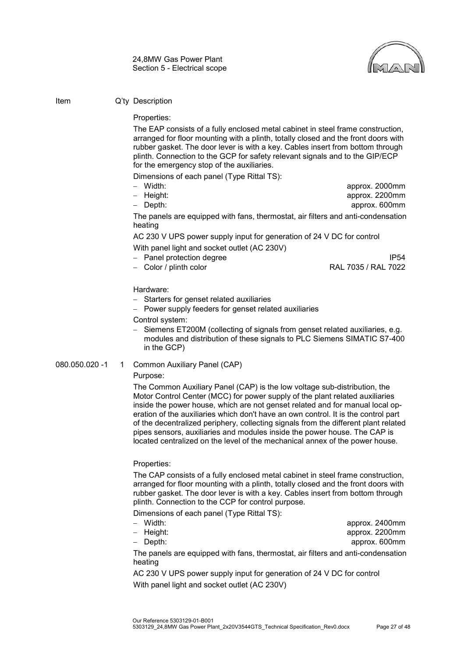

#### Item Q'ty Description

Properties:

The EAP consists of a fully enclosed metal cabinet in steel frame construction, arranged for floor mounting with a plinth, totally closed and the front doors with rubber gasket. The door lever is with a key. Cables insert from bottom through plinth. Connection to the GCP for safety relevant signals and to the GIP/ECP for the emergency stop of the auxiliaries.

Dimensions of each panel (Type Rittal TS):

- 
- − Width: approx. 2000mm − Height: approx. 2200mm − Depth: approx. 600mm

The panels are equipped with fans, thermostat, air filters and anti-condensation heating

AC 230 V UPS power supply input for generation of 24 V DC for control With panel light and socket outlet (AC 230V)

- − Panel protection degree IP54
- 

− Color / plinth color RAL 7035 / RAL 7022

Hardware:

- − Starters for genset related auxiliaries
- − Power supply feeders for genset related auxiliaries

Control system:

− Siemens ET200M (collecting of signals from genset related auxiliaries, e.g. modules and distribution of these signals to PLC Siemens SIMATIC S7-400 in the GCP)

#### 080.050.020 -1 1 Common Auxiliary Panel (CAP)

#### Purpose:

The Common Auxiliary Panel (CAP) is the low voltage sub-distribution, the Motor Control Center (MCC) for power supply of the plant related auxiliaries inside the power house, which are not genset related and for manual local operation of the auxiliaries which don't have an own control. It is the control part of the decentralized periphery, collecting signals from the different plant related pipes sensors, auxiliaries and modules inside the power house. The CAP is located centralized on the level of the mechanical annex of the power house.

Properties:

The CAP consists of a fully enclosed metal cabinet in steel frame construction, arranged for floor mounting with a plinth, totally closed and the front doors with rubber gasket. The door lever is with a key. Cables insert from bottom through plinth. Connection to the CCP for control purpose.

Dimensions of each panel (Type Rittal TS):

| – Width:                                                                                    | approx. 2400mm |
|---------------------------------------------------------------------------------------------|----------------|
| – Height:                                                                                   | approx. 2200mm |
| – Depth:                                                                                    | approx. 600mm  |
| The panels are equipped with fans, thermostat, air filters and anti-condensation<br>heating |                |

AC 230 V UPS power supply input for generation of 24 V DC for control

With panel light and socket outlet (AC 230V)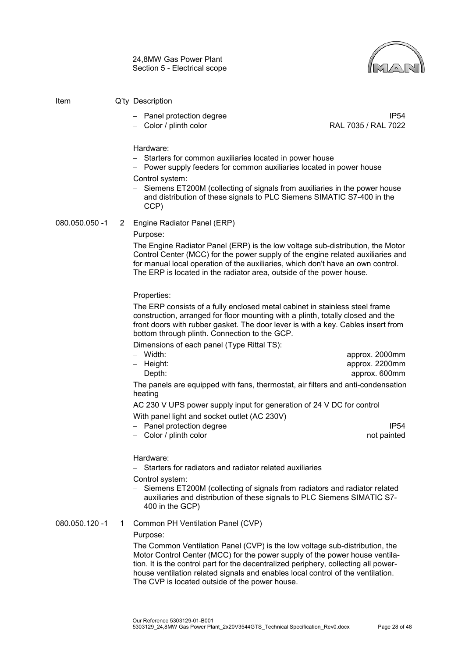

- Item Q'ty Description
	-
	- − Color / plinth color
	- − Panel protection degree IP54<br>FAL 7035 / RAL 7035 / RAL 7022

Hardware:

- − Starters for common auxiliaries located in power house
- Power supply feeders for common auxiliaries located in power house

#### Control system:

Siemens ET200M (collecting of signals from auxiliaries in the power house and distribution of these signals to PLC Siemens SIMATIC S7-400 in the CCP)

#### 080.050.050 -1 2 Engine Radiator Panel (ERP)

Purpose:

The Engine Radiator Panel (ERP) is the low voltage sub-distribution, the Motor Control Center (MCC) for the power supply of the engine related auxiliaries and for manual local operation of the auxiliaries, which don't have an own control. The ERP is located in the radiator area, outside of the power house.

Properties:

The ERP consists of a fully enclosed metal cabinet in stainless steel frame construction, arranged for floor mounting with a plinth, totally closed and the front doors with rubber gasket. The door lever is with a key. Cables insert from bottom through plinth. Connection to the GCP.

Dimensions of each panel (Type Rittal TS):

| – Width:  |  | approx. 2000mm |
|-----------|--|----------------|
| – Height: |  | approx. 2200mm |
| – Depth:  |  | approx. 600mm  |
|           |  |                |

The panels are equipped with fans, thermostat, air filters and anti-condensation heating

AC 230 V UPS power supply input for generation of 24 V DC for control With panel light and socket outlet (AC 230V)

- − Panel protection degree IP54
- − Color / plinth color not painted

Hardware:

− Starters for radiators and radiator related auxiliaries

Control system:

− Siemens ET200M (collecting of signals from radiators and radiator related auxiliaries and distribution of these signals to PLC Siemens SIMATIC S7- 400 in the GCP)

080.050.120 -1 1 Common PH Ventilation Panel (CVP)

Purpose:

The Common Ventilation Panel (CVP) is the low voltage sub-distribution, the Motor Control Center (MCC) for the power supply of the power house ventilation. It is the control part for the decentralized periphery, collecting all powerhouse ventilation related signals and enables local control of the ventilation. The CVP is located outside of the power house.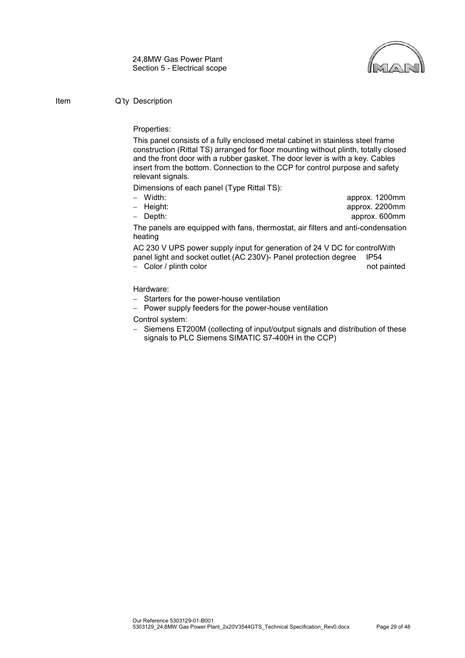

## Properties:

This panel consists of a fully enclosed metal cabinet in stainless steel frame construction (Rittal TS) arranged for floor mounting without plinth, totally closed and the front door with a rubber gasket. The door lever is with a key. Cables insert from the bottom. Connection to the CCP for control purpose and safety relevant signals.

Dimensions of each panel (Type Rittal TS):

- 
- − Width: approx. 1200mm
- − Height: approx. 2200mm
- − Depth: approx. 600mm

The panels are equipped with fans, thermostat, air filters and anti-condensation heating

AC 230 V UPS power supply input for generation of 24 V DC for controlWith panel light and socket outlet (AC 230V)- Panel protection degree IP54

− Color / plinth color not painted

#### Hardware:

- − Starters for the power-house ventilation
- − Power supply feeders for the power-house ventilation

Control system:

− Siemens ET200M (collecting of input/output signals and distribution of these signals to PLC Siemens SIMATIC S7-400H in the CCP)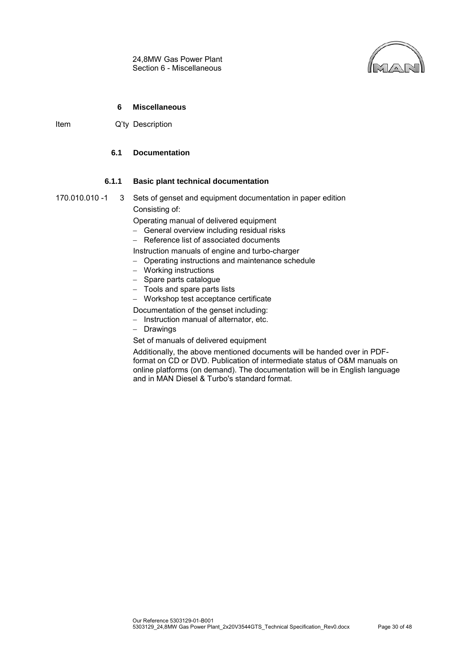24,8MW Gas Power Plant Section 6 - Miscellaneous



#### **6 Miscellaneous**

<span id="page-31-1"></span><span id="page-31-0"></span>Item Q'ty Description

## **6.1 Documentation**

#### **6.1.1 Basic plant technical documentation**

170.010.010 -1 3 Sets of genset and equipment documentation in paper edition Consisting of:

Operating manual of delivered equipment

- − General overview including residual risks
- − Reference list of associated documents

Instruction manuals of engine and turbo-charger

- − Operating instructions and maintenance schedule
- − Working instructions
- − Spare parts catalogue
- − Tools and spare parts lists
- − Workshop test acceptance certificate

Documentation of the genset including:

- − Instruction manual of alternator, etc.
- − Drawings

Set of manuals of delivered equipment

Additionally, the above mentioned documents will be handed over in PDFformat on CD or DVD. Publication of intermediate status of O&M manuals on online platforms (on demand). The documentation will be in English language and in MAN Diesel & Turbo's standard format.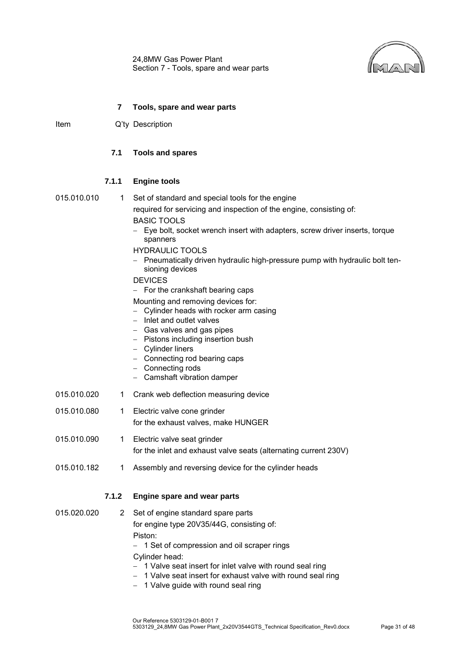24,8MW Gas Power Plant Section 7 - Tools, spare and wear parts



#### **7 Tools, spare and wear parts**

<span id="page-32-1"></span><span id="page-32-0"></span>Item Q'ty Description

## **7.1 Tools and spares**

#### **7.1.1 Engine tools**

$$
015.010.01\\
$$

0 1 Set of standard and special tools for the engine required for servicing and inspection of the engine, consisting of:

- BASIC TOOLS − Eye bolt, socket wrench insert with adapters, screw driver inserts, torque spanners
	- HYDRAULIC TOOLS
	- − Pneumatically driven hydraulic high-pressure pump with hydraulic bolt tensioning devices

#### DEVICES

- − For the crankshaft bearing caps
- Mounting and removing devices for:
- − Cylinder heads with rocker arm casing
- − Inlet and outlet valves
- − Gas valves and gas pipes
- − Pistons including insertion bush
- − Cylinder liners
- − Connecting rod bearing caps
- − Connecting rods
- − Camshaft vibration damper
- 015.010.020 1 Crank web deflection measuring device
- 015.010.080 1 Electric valve cone grinder for the exhaust valves, make HUNGER
- 015.010.090 1 Electric valve seat grinder for the inlet and exhaust valve seats (alternating current 230V)
- 015.010.182 1 Assembly and reversing device for the cylinder heads

## **7.1.2 Engine spare and wear parts**

- 015.020.020 2 Set of engine standard spare parts for engine type 20V35/44G, consisting of: Piston:
	- − 1 Set of compression and oil scraper rings

Cylinder head:

- − 1 Valve seat insert for inlet valve with round seal ring
- − 1 Valve seat insert for exhaust valve with round seal ring
- − 1 Valve guide with round seal ring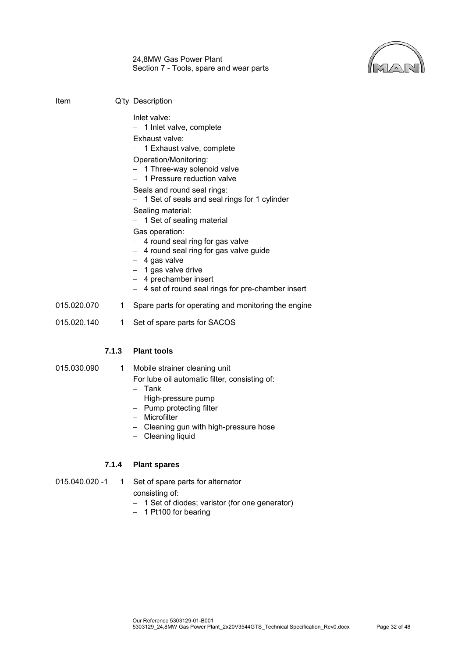

24,8MW Gas Power Plant Section 7 - Tools, spare and wear parts

| Item        |       | Q'ty Description                                                                                                                                                                                                         |
|-------------|-------|--------------------------------------------------------------------------------------------------------------------------------------------------------------------------------------------------------------------------|
|             |       | Inlet valve:<br>- 1 Inlet valve, complete<br>Exhaust valve:<br>1 Exhaust valve, complete<br>Operation/Monitoring:<br>- 1 Three-way solenoid valve                                                                        |
|             |       | - 1 Pressure reduction valve                                                                                                                                                                                             |
|             |       | Seals and round seal rings:<br>- 1 Set of seals and seal rings for 1 cylinder                                                                                                                                            |
|             |       | Sealing material:<br>- 1 Set of sealing material                                                                                                                                                                         |
|             |       | Gas operation:<br>- 4 round seal ring for gas valve<br>- 4 round seal ring for gas valve guide<br>$-4$ gas valve<br>$-$ 1 gas valve drive<br>- 4 prechamber insert<br>- 4 set of round seal rings for pre-chamber insert |
| 015.020.070 | 1.    | Spare parts for operating and monitoring the engine                                                                                                                                                                      |
| 015.020.140 | 1     | Set of spare parts for SACOS                                                                                                                                                                                             |
|             | 7.1.3 | <b>Plant tools</b>                                                                                                                                                                                                       |

015.030.090 1 Mobile strainer cleaning unit

For lube oil automatic filter, consisting of:

- − Tank
- − High-pressure pump
- − Pump protecting filter
- − Microfilter
- − Cleaning gun with high-pressure hose
- − Cleaning liquid

## **7.1.4 Plant spares**

- 015.040.020 -1 1 Set of spare parts for alternator
	- consisting of:
	- − 1 Set of diodes; varistor (for one generator)
	- − 1 Pt100 for bearing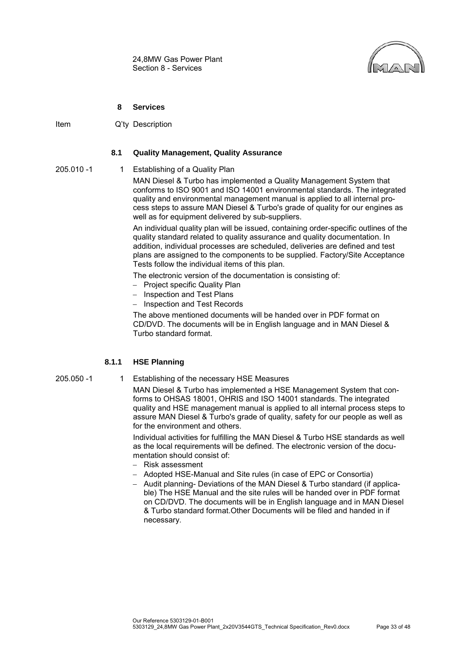

#### **8 Services**

<span id="page-34-1"></span><span id="page-34-0"></span>Item Q'ty Description

#### **8.1 Quality Management, Quality Assurance**

#### 205.010 -1 1 Establishing of a Quality Plan

MAN Diesel & Turbo has implemented a Quality Management System that conforms to ISO 9001 and ISO 14001 environmental standards. The integrated quality and environmental management manual is applied to all internal process steps to assure MAN Diesel & Turbo's grade of quality for our engines as well as for equipment delivered by sub-suppliers.

An individual quality plan will be issued, containing order-specific outlines of the quality standard related to quality assurance and quality documentation. In addition, individual processes are scheduled, deliveries are defined and test plans are assigned to the components to be supplied. Factory/Site Acceptance Tests follow the individual items of this plan.

The electronic version of the documentation is consisting of:

- − Project specific Quality Plan
- − Inspection and Test Plans
- − Inspection and Test Records

The above mentioned documents will be handed over in PDF format on CD/DVD. The documents will be in English language and in MAN Diesel & Turbo standard format.

#### **8.1.1 HSE Planning**

- 
- 205.050 -1 1 Establishing of the necessary HSE Measures

MAN Diesel & Turbo has implemented a HSE Management System that conforms to OHSAS 18001, OHRIS and ISO 14001 standards. The integrated quality and HSE management manual is applied to all internal process steps to assure MAN Diesel & Turbo's grade of quality, safety for our people as well as for the environment and others.

Individual activities for fulfilling the MAN Diesel & Turbo HSE standards as well as the local requirements will be defined. The electronic version of the documentation should consist of:

- − Risk assessment
- − Adopted HSE-Manual and Site rules (in case of EPC or Consortia)
- − Audit planning- Deviations of the MAN Diesel & Turbo standard (if applicable) The HSE Manual and the site rules will be handed over in PDF format on CD/DVD. The documents will be in English language and in MAN Diesel & Turbo standard format.Other Documents will be filed and handed in if necessary.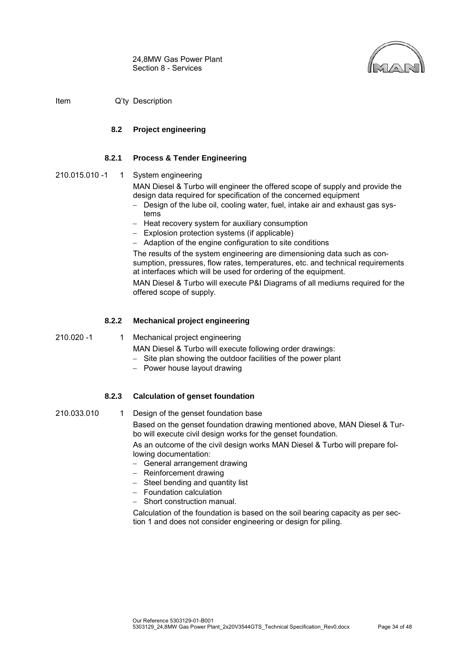

<span id="page-35-0"></span>Item Q'ty Description

## **8.2 Project engineering**

## **8.2.1 Process & Tender Engineering**

210.015.010 -1 1 System engineering

MAN Diesel & Turbo will engineer the offered scope of supply and provide the design data required for specification of the concerned equipment

- − Design of the lube oil, cooling water, fuel, intake air and exhaust gas systems
- − Heat recovery system for auxiliary consumption
- − Explosion protection systems (if applicable)
- − Adaption of the engine configuration to site conditions

The results of the system engineering are dimensioning data such as consumption, pressures, flow rates, temperatures, etc. and technical requirements at interfaces which will be used for ordering of the equipment.

MAN Diesel & Turbo will execute P&I Diagrams of all mediums required for the offered scope of supply.

## **8.2.2 Mechanical project engineering**

210.020 -1 1 Mechanical project engineering

MAN Diesel & Turbo will execute following order drawings:

- − Site plan showing the outdoor facilities of the power plant
- − Power house layout drawing

## **8.2.3 Calculation of genset foundation**

210.033.010 1 Design of the genset foundation base

Based on the genset foundation drawing mentioned above, MAN Diesel & Turbo will execute civil design works for the genset foundation.

As an outcome of the civil design works MAN Diesel & Turbo will prepare following documentation:

- − General arrangement drawing
- − Reinforcement drawing
- − Steel bending and quantity list
- − Foundation calculation
- − Short construction manual.

Calculation of the foundation is based on the soil bearing capacity as per section 1 and does not consider engineering or design for piling.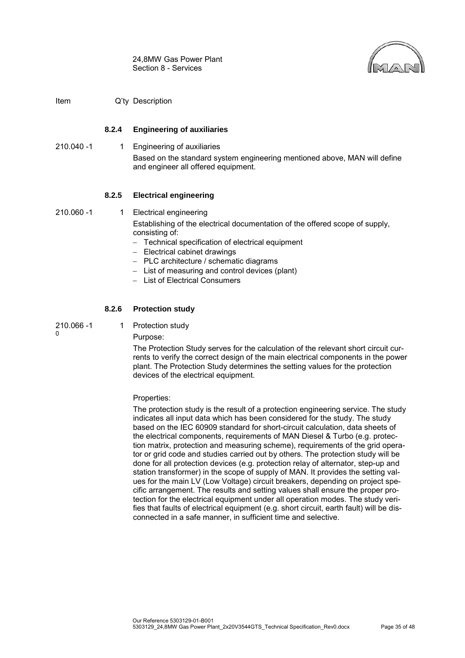

Item Q'ty Description

## **8.2.4 Engineering of auxiliaries**

210.040 -1 1 Engineering of auxiliaries Based on the standard system engineering mentioned above, MAN will define and engineer all offered equipment.

## **8.2.5 Electrical engineering**

210.060 -1 1 Electrical engineering

Establishing of the electrical documentation of the offered scope of supply, consisting of:

- − Technical specification of electrical equipment
- − Electrical cabinet drawings
- − PLC architecture / schematic diagrams
- − List of measuring and control devices (plant)
- − List of Electrical Consumers

## **8.2.6 Protection study**

210.066 -1 0

1 Protection study

Purpose:

The Protection Study serves for the calculation of the relevant short circuit currents to verify the correct design of the main electrical components in the power plant. The Protection Study determines the setting values for the protection devices of the electrical equipment.

## Properties:

The protection study is the result of a protection engineering service. The study indicates all input data which has been considered for the study. The study based on the IEC 60909 standard for short-circuit calculation, data sheets of the electrical components, requirements of MAN Diesel & Turbo (e.g. protection matrix, protection and measuring scheme), requirements of the grid operator or grid code and studies carried out by others. The protection study will be done for all protection devices (e.g. protection relay of alternator, step-up and station transformer) in the scope of supply of MAN. It provides the setting values for the main LV (Low Voltage) circuit breakers, depending on project specific arrangement. The results and setting values shall ensure the proper protection for the electrical equipment under all operation modes. The study verifies that faults of electrical equipment (e.g. short circuit, earth fault) will be disconnected in a safe manner, in sufficient time and selective.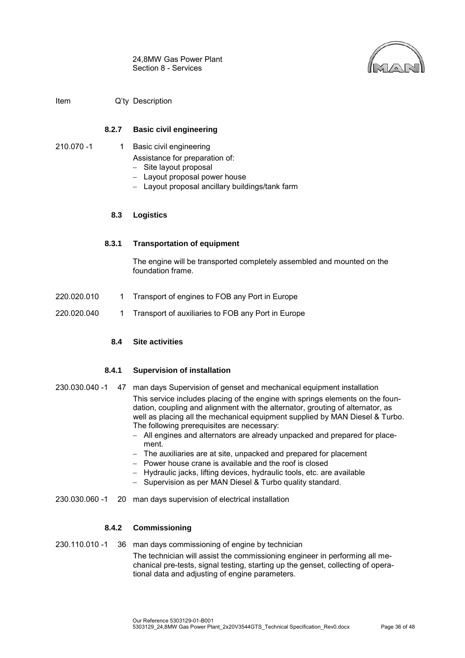

Item Q'ty Description

## **8.2.7 Basic civil engineering**

<span id="page-37-0"></span>210.070 -1 1 Basic civil engineering

Assistance for preparation of:

- − Site layout proposal
- − Layout proposal power house
- − Layout proposal ancillary buildings/tank farm

#### **8.3 Logistics**

#### **8.3.1 Transportation of equipment**

The engine will be transported completely assembled and mounted on the foundation frame.

- 220.020.010 1 Transport of engines to FOB any Port in Europe
- <span id="page-37-1"></span>220.020.040 1 Transport of auxiliaries to FOB any Port in Europe

## **8.4 Site activities**

#### **8.4.1 Supervision of installation**

- 230.030.040 -1 47 man days Supervision of genset and mechanical equipment installation This service includes placing of the engine with springs elements on the foundation, coupling and alignment with the alternator, grouting of alternator, as well as placing all the mechanical equipment supplied by MAN Diesel & Turbo. The following prerequisites are necessary:
	- − All engines and alternators are already unpacked and prepared for placement.
	- − The auxiliaries are at site, unpacked and prepared for placement
	- − Power house crane is available and the roof is closed
	- − Hydraulic jacks, lifting devices, hydraulic tools, etc. are available
	- − Supervision as per MAN Diesel & Turbo quality standard.
- 230.030.060 -1 20 man days supervision of electrical installation

#### **8.4.2 Commissioning**

230.110.010 -1 36 man days commissioning of engine by technician The technician will assist the commissioning engineer in performing all mechanical pre-tests, signal testing, starting up the genset, collecting of operational data and adjusting of engine parameters.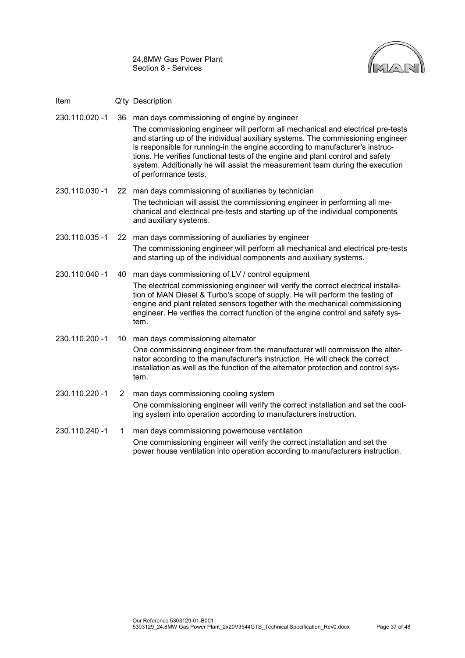

- Item Q'ty Description
- 230.110.020 -1 36 man days commissioning of engine by engineer

The commissioning engineer will perform all mechanical and electrical pre-tests and starting up of the individual auxiliary systems. The commissioning engineer is responsible for running-in the engine according to manufacturer's instructions. He verifies functional tests of the engine and plant control and safety system. Additionally he will assist the measurement team during the execution of performance tests.

- 230.110.030 -1 22 man days commissioning of auxiliaries by technician The technician will assist the commissioning engineer in performing all mechanical and electrical pre-tests and starting up of the individual components and auxiliary systems.
- 230.110.035 -1 22 man days commissioning of auxiliaries by engineer The commissioning engineer will perform all mechanical and electrical pre-tests and starting up of the individual components and auxiliary systems.
- 230.110.040 -1 40 man days commissioning of LV / control equipment The electrical commissioning engineer will verify the correct electrical installation of MAN Diesel & Turbo's scope of supply. He will perform the testing of engine and plant related sensors together with the mechanical commissioning engineer. He verifies the correct function of the engine control and safety system.
- 230.110.200 -1 10 man days commissioning alternator One commissioning engineer from the manufacturer will commission the alternator according to the manufacturer's instruction. He will check the correct installation as well as the function of the alternator protection and control system.
- 230.110.220 -1 2 man days commissioning cooling system One commissioning engineer will verify the correct installation and set the cooling system into operation according to manufacturers instruction.
- 230.110.240 -1 1 man days commissioning powerhouse ventilation One commissioning engineer will verify the correct installation and set the power house ventilation into operation according to manufacturers instruction.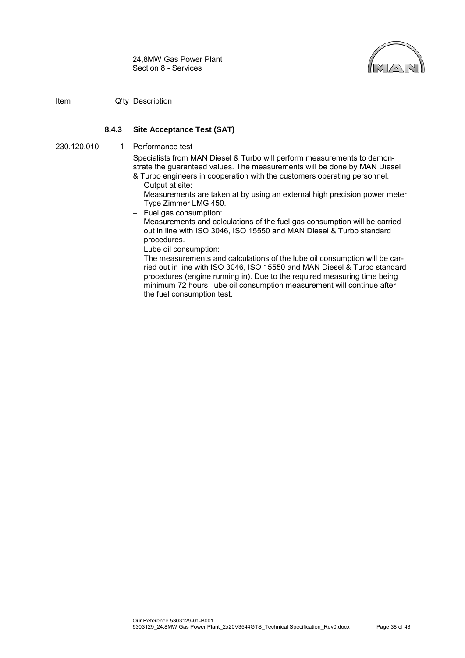

Item Q'ty Description

## **8.4.3 Site Acceptance Test (SAT)**

230.120.010 1 Performance test

Specialists from MAN Diesel & Turbo will perform measurements to demonstrate the guaranteed values. The measurements will be done by MAN Diesel & Turbo engineers in cooperation with the customers operating personnel.

- − Output at site:
	- Measurements are taken at by using an external high precision power meter Type Zimmer LMG 450.
- − Fuel gas consumption:

Measurements and calculations of the fuel gas consumption will be carried out in line with ISO 3046, ISO 15550 and MAN Diesel & Turbo standard procedures.

− Lube oil consumption:

The measurements and calculations of the lube oil consumption will be carried out in line with ISO 3046, ISO 15550 and MAN Diesel & Turbo standard procedures (engine running in). Due to the required measuring time being minimum 72 hours, lube oil consumption measurement will continue after the fuel consumption test.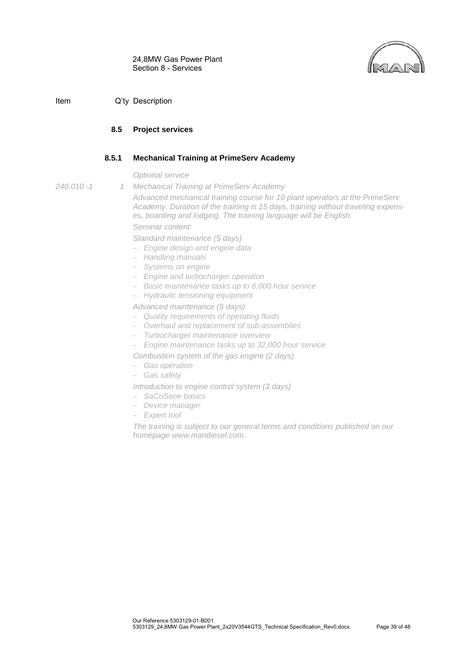

<span id="page-40-0"></span>Item Q'ty Description

## **8.5 Project services**

## **8.5.1 Mechanical Training at PrimeServ Academy**

*Optional service*

- *240.010 -1 1*
- *Mechanical Training at PrimeServ Academy*

*Advanced mechanical training course for 10 plant operators at the PrimeServ Academy. Duration of the training is 15 days, training without traveling expenses, boarding and lodging. The training language will be English. Seminar content:*

*Standard maintenance (5 days)*

- − *Engine design and engine data*
- − *Handling manuals*
- − *Systems on engine*
- − *Engine and turbocharger operation*
- − *Basic maintenance tasks up to 6,000 hour service*
- − *Hydraulic tensioning equipment*

*Advanced maintenance (5 days)*

- − *Quality requirements of operating fluids*
- − *Overhaul and replacement of sub-assemblies*
- − *Turbocharger maintenance overview*
- − *Engine maintenance tasks up to 32,000 hour service*
- *Combustion system of the gas engine (2 days)*
- − *Gas operation*
- − *Gas safety*

*Introduction to engine control system (3 days)*

- − *SaCoSone basics*
- − *Device manager*
- − *Expert tool*

*The training is subject to our general terms and conditions published on our homepage www.mandiesel.com.*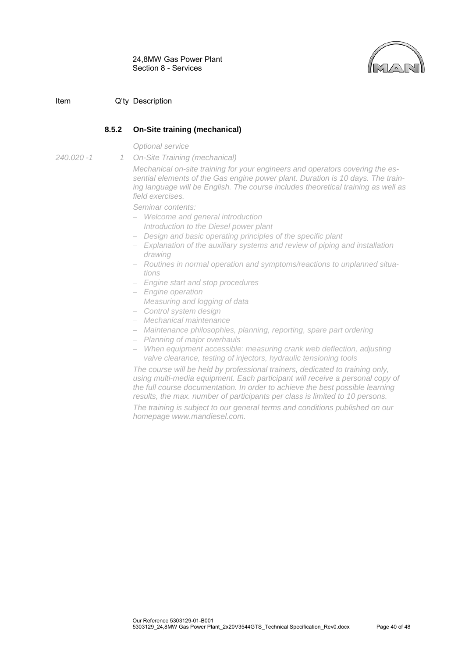

## Item Q'ty Description

## **8.5.2 On-Site training (mechanical)**

*On-Site Training (mechanical)*

*Optional service*

*240.020 -1 1* 

*Mechanical on-site training for your engineers and operators covering the essential elements of the Gas engine power plant. Duration is 10 days. The training language will be English. The course includes theoretical training as well as field exercises.*

*Seminar contents:*

- − *Welcome and general introduction*
- − *Introduction to the Diesel power plant*
- − *Design and basic operating principles of the specific plant*
- − *Explanation of the auxiliary systems and review of piping and installation drawing*
- − *Routines in normal operation and symptoms/reactions to unplanned situations*
- − *Engine start and stop procedures*
- − *Engine operation*
- − *Measuring and logging of data*
- − *Control system design*
- − *Mechanical maintenance*
- − *Maintenance philosophies, planning, reporting, spare part ordering*
- − *Planning of major overhauls*
- − *When equipment accessible: measuring crank web deflection, adjusting valve clearance, testing of injectors, hydraulic tensioning tools*

*The course will be held by professional trainers, dedicated to training only, using multi-media equipment. Each participant will receive a personal copy of the full course documentation. In order to achieve the best possible learning results, the max. number of participants per class is limited to 10 persons.*

*The training is subject to our general terms and conditions published on our homepage www.mandiesel.com.*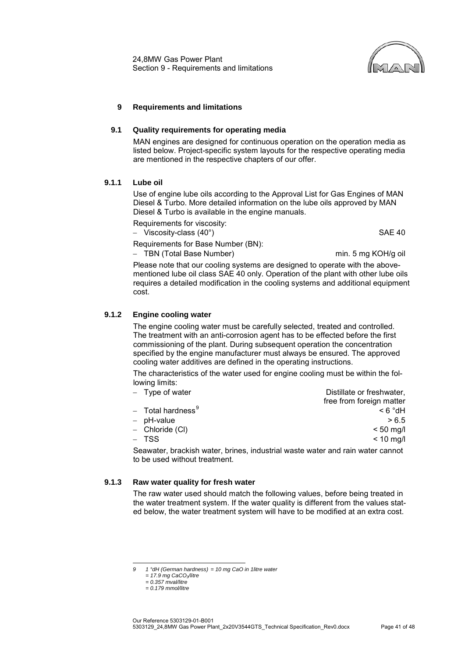

#### <span id="page-42-0"></span>**9 Requirements and limitations**

#### <span id="page-42-1"></span>**9.1 Quality requirements for operating media**

MAN engines are designed for continuous operation on the operation media as listed below. Project-specific system layouts for the respective operating media are mentioned in the respective chapters of our offer.

#### <span id="page-42-2"></span>**9.1.1 Lube oil**

Use of engine lube oils according to the Approval List for Gas Engines of MAN Diesel & Turbo. More detailed information on the lube oils approved by MAN Diesel & Turbo is available in the engine manuals.

Requirements for viscosity:

− Viscosity-class (40°) SAE 40

Requirements for Base Number (BN):

− TBN (Total Base Number) min. 5 mg KOH/g oil

Please note that our cooling systems are designed to operate with the abovementioned lube oil class SAE 40 only. Operation of the plant with other lube oils requires a detailed modification in the cooling systems and additional equipment cost.

## <span id="page-42-3"></span>**9.1.2 Engine cooling water**

The engine cooling water must be carefully selected, treated and controlled. The treatment with an anti-corrosion agent has to be effected before the first commissioning of the plant. During subsequent operation the concentration specified by the engine manufacturer must always be ensured. The approved cooling water additives are defined in the operating instructions.

The characteristics of the water used for engine cooling must be within the following limits:<br>
Type of water

| - Type of water               | Distillate or freshwater,                                                                             |
|-------------------------------|-------------------------------------------------------------------------------------------------------|
|                               | free from foreign matter                                                                              |
| - Total hardness <sup>9</sup> | $Hb^{\circ}$ $\delta$ >                                                                               |
| - pH-value                    | > 6.5                                                                                                 |
| - Chloride (CI)               | $< 50$ mg/l                                                                                           |
| – TSS                         | $< 10$ mg/                                                                                            |
|                               | Os accepta a base deleto contra de la desenvación de la contra contra esta contra a ser establecera d |

Seawater, brackish water, brines, industrial waste water and rain water cannot to be used without treatment.

#### **9.1.3 Raw water quality for fresh water**

The raw water used should match the following values, before being treated in the water treatment system. If the water quality is different from the values stated below, the water treatment system will have to be modified at an extra cost.

<span id="page-42-4"></span>*<sup>9 1 °</sup>dH (German hardness) = 10 mg CaO in 1litre water*  $\overline{Q}$ 

*<sup>= 17.9</sup> mg CaCO3/litre = 0.357 mval/litre*

*<sup>= 0.179</sup> mmol/litre*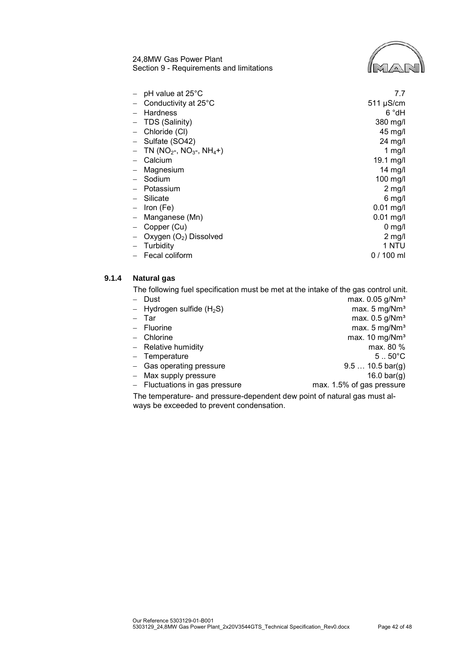24,8MW Gas Power Plant Section 9 - Requirements and limitations



| pH value at 25°C                   | 7.7              |
|------------------------------------|------------------|
| Conductivity at 25°C               | $511 \mu S/cm$   |
| <b>Hardness</b>                    | 6 °dH            |
| TDS (Salinity)                     | 380 mg/l         |
| Chloride (CI)                      | 45 mg/l          |
| Sulfate (SO42)                     | 24 mg/l          |
| TN ( $NO2$ -, $NO3$ -, $NH4$ +)    | 1 mg/l           |
| Calcium                            | 19.1 mg/l        |
| Magnesium                          | $14$ mg/l        |
| Sodium                             | 100 mg/l         |
| Potassium                          | $2 \text{ mg/l}$ |
| Silicate                           | $6 \text{ mg/l}$ |
| Iron (Fe)                          | $0.01$ mg/l      |
| Manganese (Mn)                     | $0.01$ mg/l      |
| Copper (Cu)                        | $0$ mg/l         |
| Oxygen (O <sub>2</sub> ) Dissolved | $2$ mg/l         |
| Turbidity                          | 1 NTU            |
| Fecal coliform                     | $0/100$ ml       |

## <span id="page-43-0"></span>**9.1.4 Natural gas**

The following fuel specification must be met at the intake of the gas control unit.

| - Dust                                                                    | max. 0.05 g/Nm <sup>3</sup>      |  |
|---------------------------------------------------------------------------|----------------------------------|--|
| $-$ Hydrogen sulfide (H <sub>2</sub> S)                                   | max. $5 \text{ mg}/\text{Nm}^3$  |  |
| $-$ Tar                                                                   | max. $0.5$ g/Nm <sup>3</sup>     |  |
| $-$ Fluorine                                                              | max. $5 \text{ mg}/\text{Nm}^3$  |  |
| $-$ Chlorine                                                              | max. $10 \text{ mg}/\text{Nm}^3$ |  |
| $-$ Relative humidity                                                     | max. 80 %                        |  |
| - Temperature                                                             | $51$ . 50 $^{\circ}$ C           |  |
| - Gas operating pressure                                                  | $9.5 10.5 \text{ bar}(q)$        |  |
| - Max supply pressure                                                     | 16.0 bar(g)                      |  |
| $-$ Fluctuations in gas pressure                                          | max. 1.5% of gas pressure        |  |
| The temperature, and pressure dependent dew point of patural ass must al- |                                  |  |

The temperature- and pressure-dependent dew point of natural gas must always be exceeded to prevent condensation.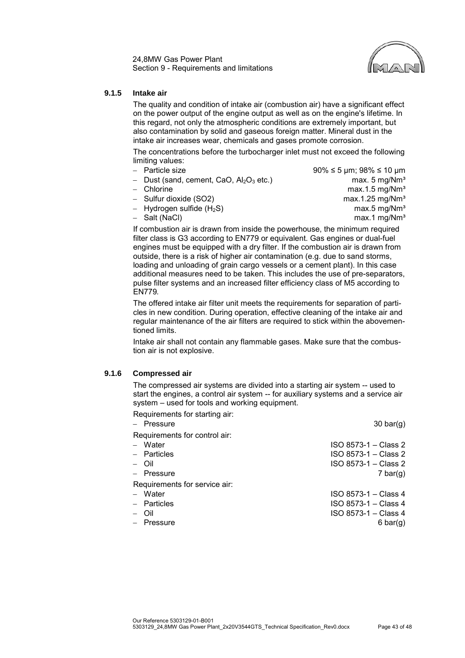24,8MW Gas Power Plant Section 9 - Requirements and limitations



#### <span id="page-44-0"></span>**9.1.5 Intake air**

The quality and condition of intake air (combustion air) have a significant effect on the power output of the engine output as well as on the engine's lifetime. In this regard, not only the atmospheric conditions are extremely important, but also contamination by solid and gaseous foreign matter. Mineral dust in the intake air increases wear, chemicals and gases promote corrosion.

The concentrations before the turbocharger inlet must not exceed the following limiting values:<br>- Particle size

- 
- Dust (sand, cement, CaO,  $Al_2O_3$  etc.) max. 5 mg/Nm<sup>3</sup>
- 
- 
- 
- 

− Particle size 90% ≤ 5 µm; 98% ≤ 10 µm − Chlorine max.1.5 mg/Nm³ − Sulfur dioxide (SO2) max.1.25 mg/Nm³ − Hydrogen sulfide (H<sub>2</sub>S) max.5 mg/Nm<sup>3</sup><br>− Salt (NaCl) max.1 mg/Nm<sup>3</sup>  $max.1$  mg/Nm<sup>3</sup>

If combustion air is drawn from inside the powerhouse, the minimum required filter class is G3 according to EN779 or equivalent. Gas engines or dual-fuel engines must be equipped with a dry filter. If the combustion air is drawn from outside, there is a risk of higher air contamination (e.g. due to sand storms, loading and unloading of grain cargo vessels or a cement plant). In this case additional measures need to be taken. This includes the use of pre-separators, pulse filter systems and an increased filter efficiency class of M5 according to EN779*.*

The offered intake air filter unit meets the requirements for separation of particles in new condition. During operation, effective cleaning of the intake air and regular maintenance of the air filters are required to stick within the abovementioned limits.

Intake air shall not contain any flammable gases. Make sure that the combustion air is not explosive.

#### **9.1.6 Compressed air**

The compressed air systems are divided into a starting air system -- used to start the engines, a control air system -- for auxiliary systems and a service air system – used for tools and working equipment.

Requirements for starting air:

| - Pressure                    | $30 \text{ bar}(q)$  |
|-------------------------------|----------------------|
| Requirements for control air: |                      |
| - Water                       | ISO 8573-1 – Class 2 |
| - Particles                   | ISO 8573-1 – Class 2 |
| – Oil                         | ISO 8573-1 - Class 2 |
| - Pressure                    | 7 bar(g)             |
| Requirements for service air: |                      |
| - Water                       | ISO 8573-1 - Class 4 |
| - Particles                   | ISO 8573-1 - Class 4 |
| – Oil                         | ISO 8573-1 - Class 4 |
| Pressure                      | $6 \text{ bar}(q)$   |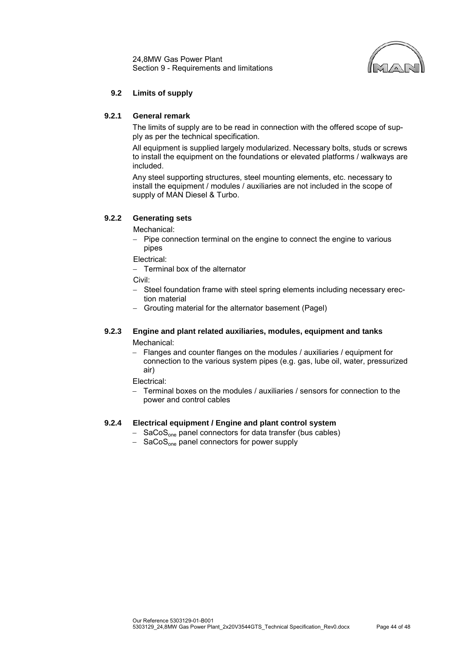24,8MW Gas Power Plant Section 9 - Requirements and limitations



## **9.2 Limits of supply**

## <span id="page-45-0"></span>**9.2.1 General remark**

The limits of supply are to be read in connection with the offered scope of supply as per the technical specification.

All equipment is supplied largely modularized. Necessary bolts, studs or screws to install the equipment on the foundations or elevated platforms / walkways are included.

Any steel supporting structures, steel mounting elements, etc. necessary to install the equipment / modules / auxiliaries are not included in the scope of supply of MAN Diesel & Turbo.

## **9.2.2 Generating sets**

Mechanical:

− Pipe connection terminal on the engine to connect the engine to various pipes

Electrical:

− Terminal box of the alternator

Civil:

- − Steel foundation frame with steel spring elements including necessary erection material
- − Grouting material for the alternator basement (Pagel)

#### **9.2.3 Engine and plant related auxiliaries, modules, equipment and tanks** Mechanical:

− Flanges and counter flanges on the modules / auxiliaries / equipment for connection to the various system pipes (e.g. gas, lube oil, water, pressurized air)

Electrical:

− Terminal boxes on the modules / auxiliaries / sensors for connection to the power and control cables

## **9.2.4 Electrical equipment / Engine and plant control system**

- − SaCoSone panel connectors for data transfer (bus cables)
- − SaCoSone panel connectors for power supply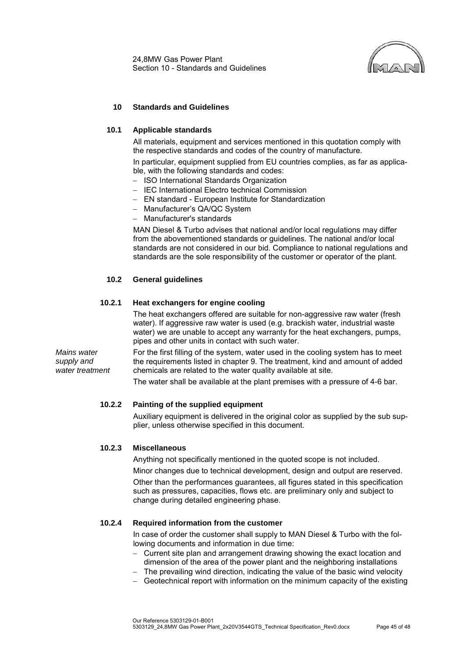

## <span id="page-46-0"></span>**10 Standards and Guidelines**

#### <span id="page-46-1"></span>**10.1 Applicable standards**

All materials, equipment and services mentioned in this quotation comply with the respective standards and codes of the country of manufacture.

In particular, equipment supplied from EU countries complies, as far as applicable, with the following standards and codes:

- − ISO International Standards Organization
- − IEC International Electro technical Commission
- − EN standard European Institute for Standardization
- − Manufacturer's QA/QC System
- − Manufacturer's standards

MAN Diesel & Turbo advises that national and/or local regulations may differ from the abovementioned standards or guidelines. The national and/or local standards are not considered in our bid. Compliance to national regulations and standards are the sole responsibility of the customer or operator of the plant.

## <span id="page-46-2"></span>**10.2 General guidelines**

#### **10.2.1 Heat exchangers for engine cooling**

The heat exchangers offered are suitable for non-aggressive raw water (fresh water). If aggressive raw water is used (e.g. brackish water, industrial waste water) we are unable to accept any warranty for the heat exchangers, pumps, pipes and other units in contact with such water.

*Mains water supply and water treatment* For the first filling of the system, water used in the cooling system has to meet the requirements listed in chapter 9. The treatment, kind and amount of added chemicals are related to the water quality available at site.

The water shall be available at the plant premises with a pressure of 4-6 bar.

## **10.2.2 Painting of the supplied equipment**

Auxiliary equipment is delivered in the original color as supplied by the sub supplier, unless otherwise specified in this document.

#### **10.2.3 Miscellaneous**

Anything not specifically mentioned in the quoted scope is not included.

Minor changes due to technical development, design and output are reserved. Other than the performances guarantees, all figures stated in this specification such as pressures, capacities, flows etc. are preliminary only and subject to change during detailed engineering phase.

## **10.2.4 Required information from the customer**

In case of order the customer shall supply to MAN Diesel & Turbo with the following documents and information in due time:

- − Current site plan and arrangement drawing showing the exact location and dimension of the area of the power plant and the neighboring installations
- − The prevailing wind direction, indicating the value of the basic wind velocity
- − Geotechnical report with information on the minimum capacity of the existing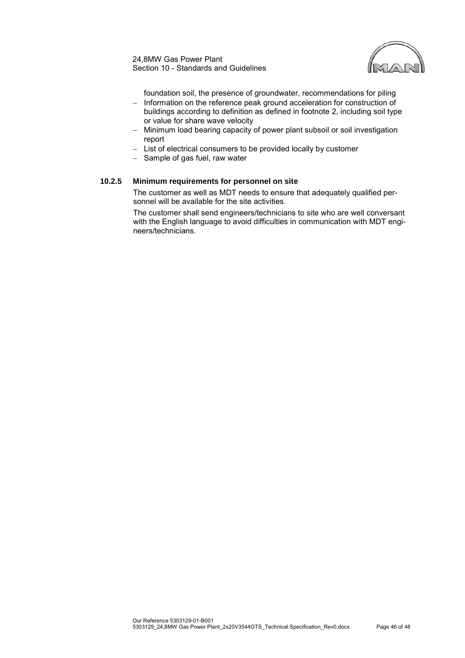

foundation soil, the presence of groundwater, recommendations for piling

- − Information on the reference peak ground acceleration for construction of buildings according to definition as defined in footnote [2,](#page-3-2) including soil type or value for share wave velocity
- − Minimum load bearing capacity of power plant subsoil or soil investigation report
- − List of electrical consumers to be provided locally by customer
- − Sample of gas fuel, raw water

## **10.2.5 Minimum requirements for personnel on site**

The customer as well as MDT needs to ensure that adequately qualified personnel will be available for the site activities.

The customer shall send engineers/technicians to site who are well conversant with the English language to avoid difficulties in communication with MDT engineers/technicians.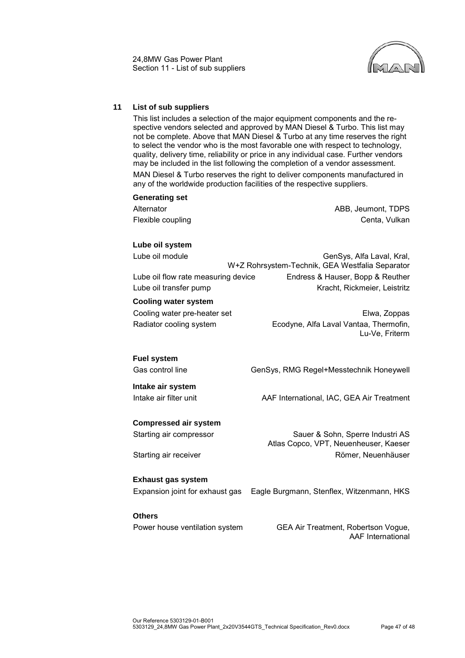

## <span id="page-48-0"></span>**11 List of sub suppliers**

This list includes a selection of the major equipment components and the respective vendors selected and approved by MAN Diesel & Turbo. This list may not be complete. Above that MAN Diesel & Turbo at any time reserves the right to select the vendor who is the most favorable one with respect to technology, quality, delivery time, reliability or price in any individual case. Further vendors may be included in the list following the completion of a vendor assessment. MAN Diesel & Turbo reserves the right to deliver components manufactured in any of the worldwide production facilities of the respective suppliers.

## **Generating set**

Alternator **ABB, Jeumont, TDPS** Flexible coupling Centa, Vulkan Centa, Vulkan Centa, Vulkan Centa, Vulkan Centa, Vulkan Centa, Vulkan Centa, Vulkan Centa, Vulkan Centa, Vulkan Centa, Vulkan Centa, Vulkan Centa, Vulkan Centa, Vulkan Centa, Vulkan Centa, V

#### **Lube oil system**

Lube oil module General Communication of General General, General, Kral, General, General, General, General, G W+Z Rohrsystem-Technik, GEA Westfalia Separator Lube oil flow rate measuring device Endress & Hauser, Bopp & Reuther Lube oil transfer pump Kracht, Rickmeier, Leistritz

#### **Cooling water system**

Cooling water pre-heater set [Elwa, Zoppas](http://www.elwa.com/) Radiator cooling system Ecodyne, Alfa Laval Vantaa, Thermofin, Lu-Ve, Friterm

## **Fuel system**

Gas control line GenSys, RMG Regel+Messtechnik Honeywell

**Intake air system** Intake air filter unit **[AAF International, IAC,](http://www.aafintl.com/) GEA Air Treatment** 

## **Compressed air system**

Starting air compressor Sauer & Sohn, Sperre Industri AS

Starting air receiver **Neuenhäuser** Römer, Neuenhäuser

#### **Exhaust gas system**

Expansion joint for exhaust gas Eagle Burgmann, Stenflex, Witzenmann, HKS

#### **Others**

Power house ventilation system GEA Air Treatment, Robertson Vogue, AAF International

Atlas Copco, VPT, Neuenheuser, Kaeser